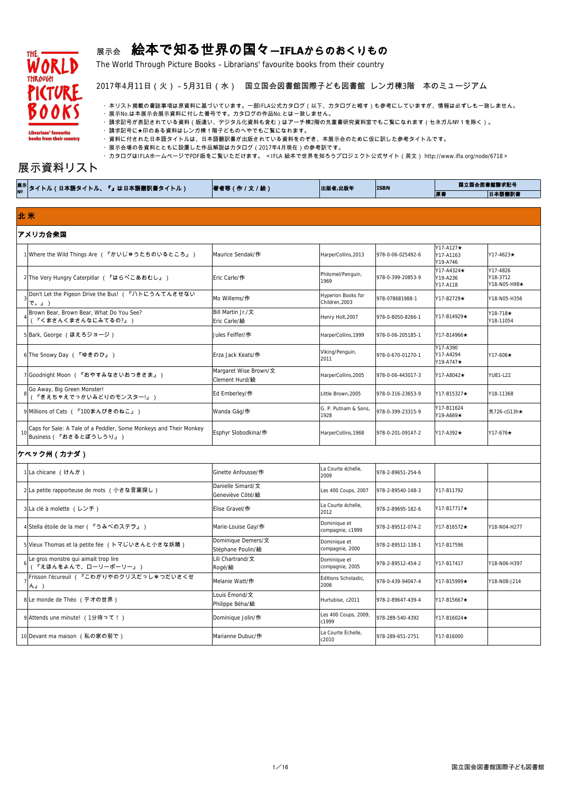

# 展示会 絵本で知る世界の国々**―IFLA**からのおくりもの

The World Through Picture Books-Librarians' favourite books from their country

#### 2017年4月11日(火)-5月31日(水) 国立国会図書館国際子ども図書館 レンガ棟3階 本のミュージアム

・本リスト掲載の書誌事項は原資料に基づいています。一部IFLA公式カタログ(以下、カタログと略す)も参考にしていますが、情報は必ずしも一致しません。

・展示No.は本展示会展示資料に付した番号です。カタログの作品No.とは一致しません。

・請求記号が表記されている資料(版違い、デジタル化資料も含む)はアーチ棟2階の児童書研究資料室でもご覧になれます(セネガル№ 1 を除く)。

・請求記号に★印のある資料はレンガ棟1階子どものへやでもご覧になれます。

・資料に付された日本語タイトルは、日本語翻訳書が出版されている資料をのぞき、本展示会のために仮に訳した参考タイトルです。

・展示会場の各資料とともに設置した作品解説はカタログ(2017年4月現在)の参考訳です。

・カタログはIFLAホームページでPDF版をご覧いただけます。 <IFLA 絵本で世界を知ろうプロジェクト公式サイト(英文) http://www.ifla.org/node/6718 >

# 展示資料リスト

#### アメリカ合衆国

| 1 Where the Wild Things Are (『かいじゅうたちのいるところ』)                                                      | Maurice Sendak/作                        | HarperCollins, 2013                  | 978-0-06-025492-6 | Y17-A127★<br>Y17-A1163<br>Y19-A746 | $Y17 - 4623 \star$                   |
|----------------------------------------------------------------------------------------------------|-----------------------------------------|--------------------------------------|-------------------|------------------------------------|--------------------------------------|
| 2 The Very Hungry Caterpillar (『はらぺこあおむし』)                                                         | Eric Carle/作                            | Philomel/Penguin,<br>1969            | 978-0-399-20853-9 | Y17-A4324★<br>Y19-A236<br>Y17-A118 | Y17-4826<br>Y18-3712<br>Y18-N05-H98★ |
| Don't Let the Pigeon Drive the Bus! (『ハトにうんてんさせない<br>で。』)                                          | Mo Willems/作                            | Hyperion Books for<br>Children, 2003 | 978-078681988-1   | Y17-B2729★                         | Y18-N05-H356                         |
| Brown Bear, Brown Bear, What Do You See?<br>(『くまさんくまさんなにみてるの?』)                                    | Bill Martin Jr./文<br>Eric Carle/絵       | Henry Holt, 2007                     | 978-0-8050-8266-1 | Y17-B14929★                        | Y18-718 <b>★</b><br>Y18-11054        |
| 5 Bark, George (ほえろジョージ)                                                                           | Jules Feiffer/作                         | HarperCollins, 1999                  | 978-0-06-205185-1 | Y17-B14966★                        |                                      |
| 6The Snowy Day (『ゆきのひ』)                                                                            | Erza Jack Keats/作                       | Viking/Penguin,<br>2011              | 978-0-670-01270-1 | Y17-A390<br>Y17-A4294<br>Y19-A747★ | $Y17-606\star$                       |
| 7 Goodnight Moon ( 『おやすみなさいおつきさま』)                                                                 | Margaret Wise Brown/文<br>Clement Hurd/絵 | HarperCollins, 2005                  | 978-0-06-443017-3 | Y17-A8042★                         | YU81-L22                             |
| Go Away, Big Green Monster!<br>(『きえちゃえでっかいみどりのモンスター!』)                                             | Ed Emberley/作                           | Little Brown, 2005                   | 978-0-316-23653-9 | Y17-B15327★                        | Y18-11368                            |
| 9 Millions of Cats (『100まんびきのねこ』)                                                                  | Wanda Gág/作                             | G. P. Putnam & Sons,<br>1928         | 978-0-399-23315-9 | Y17-B11624<br>Y19-A669★            | 児726-cG13h★                          |
| Caps for Sale: A Tale of a Peddler, Some Monkeys and Their Monkey<br>$\vert$ Business(『おさるとぼうしうり』) | Esphyr Slobodkina/作                     | HarperCollins, 1968                  | 978-0-201-09147-2 | Y17-A392★                          | $Y17-676\star$                       |
| ケベック州 (カナダ)                                                                                        |                                         |                                      |                   |                                    |                                      |
| 1 La chicane (けんか)                                                                                 | Ginette Anfousse/作                      | La Courte échelle,<br>2009           | 978-2-89651-254-6 |                                    |                                      |
| 2La petite rapporteuse de mots (小さな言葉探し)                                                           | Danielle Simard/文<br>Geneviève Côté/絵   | Les 400 Coups, 2007                  | 978-2-89540-148-3 | Y17-B11792                         |                                      |
| 3 La clé à molette (レンチ)                                                                           | Élise Gravel/作                          | La Courte échelle,<br>2012           | 978-2-89695-182-6 | Y17-B17717★                        |                                      |

| │ <sup>展示│</sup> タイトル(日本語タイトル、『』は日本語翻訳書タイトル) | 著者等(作 / 文 / 絵) | 出版者,出版年 | <b>ISBN</b> |    | 国立国会図書館請求記号 |
|----------------------------------------------|----------------|---------|-------------|----|-------------|
|                                              |                |         |             | 原書 | 日本語翻訳書      |

|  | 4 Stella étoile de la mer (『うみべのステラ』)                          | Marie-Louise Gay/作               | Dominique et<br>compagnie, c1999 | 978-2-89512-074-2  | $ Y17-B16572\star$    | Y18-N04-H277 |
|--|----------------------------------------------------------------|----------------------------------|----------------------------------|--------------------|-----------------------|--------------|
|  | 5 Vieux Thomas et la petite fée (トマじいさんと小さな妖精)                 | Dominique Demers/文               | Dominique et                     | 978-2-89512-138-1  | Y17-B17596            |              |
|  |                                                                | Stéphane Poulin/絵                | compagnie, 2000                  |                    |                       |              |
|  | Le gros monstre qui aimait trop lire                           | Lili Chartrand/文                 | Dominique et                     |                    |                       |              |
|  | 『えほんをよんで、ローリーポーリー』)                                            | Rogé/絵                           | compagnie, 2005                  | 978-2-89512-454-2  | Y17-B17417            | Y18-N06-H397 |
|  | Frisson l'écureuil (『こわがりやのクリスだっしゅつだいさくせ<br>$h_{\mathrm{J}}$ ) | Melanie Watt/作                   | Éditions Scholastic,<br>2006     | 978-0-439-94047-4  | $Y17 - B15999 +$      | Y18-N08-J214 |
|  | 8 Le monde de Théo (テオの世界)                                     | Louis Émond/文<br>Philippe Béha/絵 | Hurtubise, c2011                 | 1978-2-89647-439-4 | $YY17 - B15667 \star$ |              |
|  | 9 Attends une minute! (1分待って!)                                 | Dominique Jolin/作                | Les 400 Coups, 2009,<br>c1999    | 978-289-540-4392   | $Y17 - B16024 \star$  |              |
|  | 10 Devant ma maison (私の家の前で)                                   | Marianne Dubuc/作                 | La Courte Échelle,<br>c2010      | 978-289-651-2751   | Y17-B16000            |              |

## 北 米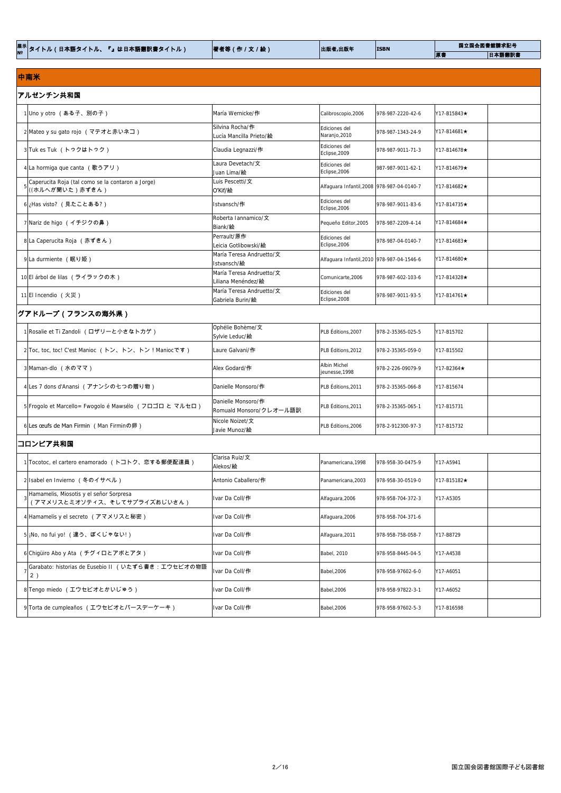| 展示 <mark>タイ</mark>  <br>「日本語タイトル、<br>トル ( | 『』は日本語翻訳書タイトル) | 作 / 文 / 絵) | 出版者,出版年 | <b>ISBN</b> |    | 国立国会図書館請求記号 |
|-------------------------------------------|----------------|------------|---------|-------------|----|-------------|
|                                           |                |            |         |             | ■原 | 日本語翻訳書      |
|                                           |                |            |         |             |    |             |

#### アルゼンチン共和国 1 Uno y otro (ある子、別の子) María Wernicke/作 Calibroscopio,2006 978-987-2220-42-6 Y17-B15843★ <sup>2</sup> Mateo y su gato rojo (マテオと赤いネコ) Silvina Rocha/<sup>作</sup> Lucía Mancilla Prieto/絵 Ediciones del  $\begin{array}{|l|l|}\n \hline \text{Equations} & \text{def} \\
\hline\n \text{Naranjo,}2010 & 978-987-1343-24-9 & \text{Y17-B14681} \end{array}$ 3 Tuk es Tuk (トゥクはトゥク) claudia Legnazzi/作 Ediciones del Eclipse,2009 978-987-9011-71-3 Y17-B14678★ 4 La hormiga que canta **(歌うアリ)** Laura Devetach/文 Juan Lima/絵 Ediciones del Eclipse,2006 987-987-9011-62-1  $\vert$ 9717-B14679★ 5 Caperucita Roja (tal como se la contaron a Jorge) ((ホルヘが聞いた)赤ずきん) Luis Pescetti/文 O'Kif/絵 Alfaguara Infantil,2008 978-987-04-0140-7 | Y17-B14682★ 6 i<sub>と</sub>Has visto? (見たことある?) Istvansch/作 Ediciones del Eclipse,2006 978-987-9011-83-6  $\vert$  Y17-B14735★ 7 Nariz de higo **(イチジクの鼻)** Roberta Iannamico/文 Biank/絵 Pequeño Editor,2005 978-987-2209-4-14 Y17-B14684★ 8 La Caperucita Roja **(赤ずきん)** Perrault/原作 Leicia Gotlibowski/絵 Ediciones del Eclipse,2006 978-987-04-0140-7 Y17-B14683★ 9 La durmiente **(眠り姫)** María Teresa Andruetto/文 Istvansch/絵 Alfaguara Infantil,2010 978-987-04-1546-6 Y17-B14680★ 10 El árbol de lilas **(ライラックの木)** María Teresa Andruetto/文 Liliana Menéndez/絵 Comunicarte,2006 978-987-602-103-6 Y17-B14328★ 11 El Incendio (火災) María Teresa Andruetto/文 Gabriela Burin/絵 Ediciones del Eclipse,2008 978-987-9011-93-5  $\vert$  217-B14761★

#### 中南米

## グアドループ(フランスの海外県)

| 1 Rosalie et Ti Zandoli (ロザリーと小さなトカゲ)                   | Ophélie Bohème/文<br>Sylvie Leduc/絵            | PLB Éditions, 2007             | 978-2-35365-025-5  | Y17-B15702       |  |  |
|---------------------------------------------------------|-----------------------------------------------|--------------------------------|--------------------|------------------|--|--|
| 2 Toc, toc, toc! C'est Manioc (トン、トン、トン! Maniocです)      | Laure Galvani/作                               | PLB Éditions, 2012             | 978-2-35365-059-0  | IY17-B15502      |  |  |
| 3 Maman-dlo (水のママ)                                      | Alex Godard/作                                 | Albin Michel<br>jeunesse, 1998 | 978-2-226-09079-9  | $Y17-B2364\star$ |  |  |
| 4 Les 7 dons d'Anansi (アナンシの七つの贈り物)                     | Danielle Monsoro/作                            | PLB Éditions, 2011             | 1978-2-35365-066-8 | IY17-B15674      |  |  |
| 5 Frogolo et Marcello = Fwogolo é Mawsélo (フロゴロ と マルセロ) | Danielle Monsoro/作<br>Romuald Monsoro/クレオール語訳 | PLB Éditions, 2011             | 1978-2-35365-065-1 | Y17-B15731       |  |  |
| 6 Les œufs de Man Firmin (Man Firminの卵)                 | Nicole Noizet/文<br>Javie Munoz/絵              | PLB Éditions, 2006             | 1978-2-912300-97-3 | Y17-B15732       |  |  |
| │コロンビア共和国                                               |                                               |                                |                    |                  |  |  |

| 1 Tocotoc, el cartero enamorado (トコトク、恋する郵便配達員)                         | Clarisa Ruiz/文<br>Alekos/絵 | Panamericana, 1998 | 978-958-30-0475-9  | Y17-A5941          |
|-------------------------------------------------------------------------|----------------------------|--------------------|--------------------|--------------------|
| 2 Isabel en Invierno (冬のイサベル)                                           | Antonio Caballero/作        | Panamericana, 2003 | 1978-958-30-0519-0 | $YY17-B15182\star$ |
| Hamamelis, Miosotis y el señor Sorpresa<br>(アマメリスとミオソティス、そしてサプライズおじいさん) | Ivar Da Coll/作             | Alfaguara, 2006    | 978-958-704-372-3  | Y17-A5305          |
| 4 Hamamelis y el secreto (アマメリスと秘密)                                     | Ivar Da Coll/ <b>作</b>     | Alfaguara, 2006    | 978-958-704-371-6  |                    |
| 5 ¡No, no fui yo! <b>(違う、ぼくじゃない!)</b>                                   | Ivar Da Coll/作             | Alfaguara, 2011    | 1978-958-758-058-7 | Y17-B8729          |
| 6 Chigüiro Abo y Ata (チグィロとアボとアタ)                                       | Ivar Da Coll/ <b>作</b>     | <b>Babel, 2010</b> | 978-958-8445-04-5  | Y17-A4538          |
| Garabato: historias de Eusebio II (いたずら書き:エウセビオの物語<br>2)                | Ivar Da Coll/作             | <b>Babel, 2006</b> | 1978-958-97602-6-0 | Y17-A6051          |
| 8 Tengo miedo (エウセビオとかいじゅう)                                             | Ivar Da Coll/作             | <b>Babel, 2006</b> | 978-958-97822-3-1  | Y17-A6052          |
| 9 Torta de cumpleaños (エウセビオとバースデーケーキ)                                  | Ivar Da Coll/作             | <b>Babel, 2006</b> | 1978-958-97602-5-3 | Y17-B16598         |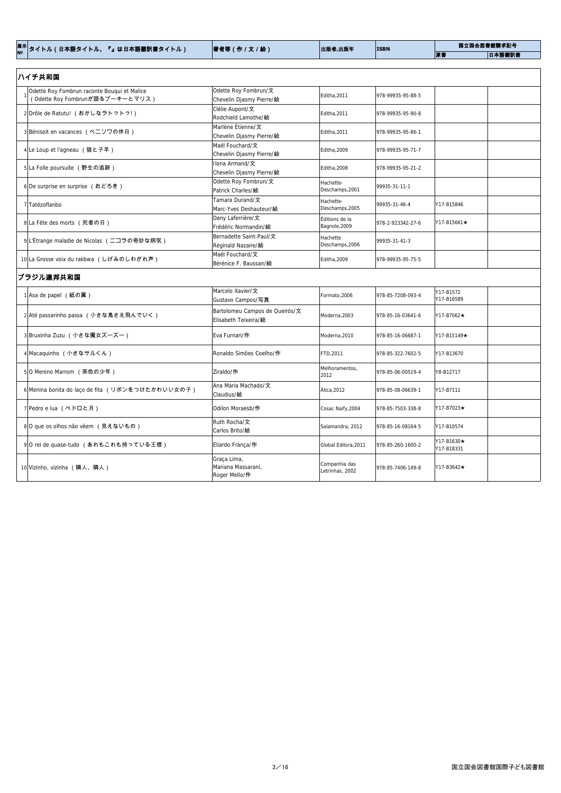| │ <sup>展示│</sup> タイトル(日本語タイトル、『』は日本語翻訳書タイトル) | 著者等(作/文/絵) | 出版者,出版年 | <b>ISBN</b> |    | 国立国会図書館請求記号 |
|----------------------------------------------|------------|---------|-------------|----|-------------|
|                                              |            |         |             | 原書 | 日本語翻訳書      |

| ハイチ共和国                                                                         |                                                              |                                  |                   |                          |  |  |  |  |  |
|--------------------------------------------------------------------------------|--------------------------------------------------------------|----------------------------------|-------------------|--------------------------|--|--|--|--|--|
| Odette Roy Fombrun raconte Bouqui et Malice<br>(Odette Roy Fombrunが語るブーキーとマリス) | Odette Roy Fombrun/文<br>Chevelin Djasmy Pierre/絵             | Editha, 2011                     | 978-99935-95-88-5 |                          |  |  |  |  |  |
| 2Drôle de Ratutu! (おかしなラトゥトゥ!)                                                 | Clélie Aupont/文<br>Rodchield Lamothe/絵                       | Editha, 2011                     | 978-99935-95-90-8 |                          |  |  |  |  |  |
| 3 Bénisoit en vacances (ベニソワの休日)                                               | Marlène Étienne/文<br>Chevelin Djasmy Pierre/絵                | Editha, 2011                     | 978-99935-95-86-1 |                          |  |  |  |  |  |
| 4Le Loup et l'agneau (狼と子羊)                                                    | Maël Fouchard/文<br>Chevelin Djasmy Pierre/絵                  | Editha, 2009                     | 978-99935-95-71-7 |                          |  |  |  |  |  |
| 5 La Folle poursuite (野生の追跡)                                                   | Ilona Armand/文<br>Chevelin Djasmy Pierre/絵                   | Editha, 2008                     | 978-99935-95-21-2 |                          |  |  |  |  |  |
| 6De surprise en surprise (おどろき)                                                | Odette Roy Fombrun/文<br>Patrick Charles/絵                    | Hachette-<br>Deschamps, 2001     | 99935-31-11-1     |                          |  |  |  |  |  |
| 7 Tatézoflanbo                                                                 | Tamara Durand/文<br>Marc-Yves Deshauteur/絵                    | Hachette-<br>Deschamps, 2005     | 99935-31-46-4     | Y17-B15846               |  |  |  |  |  |
| 8 La Fête des morts (死者の日)                                                     | Dany Laferrière/文<br>Frédéric Normandin/絵                    | Éditions de la<br>Bagnole, 2009  | 978-2-923342-27-6 | Y17-B15661★              |  |  |  |  |  |
| 9 L'Étrange maladie de Nicolas (ニコラの奇妙な病気)                                     | Bernadette Saint-Paul/文<br>Réginald Nazaire/絵                | Hachette<br>Deschamps, 2006      | 99935-31-41-3     |                          |  |  |  |  |  |
| 10 La Grosse voix du rakbwa (しげみのしわがれ声)                                        | Maël Fouchard/文<br>Bérénice F. Baussan/絵                     | Editha, 2009                     | 978-99935-95-75-5 |                          |  |  |  |  |  |
| ブラジル連邦共和国                                                                      |                                                              |                                  |                   |                          |  |  |  |  |  |
| 1 Asa de papel (紙の翼)                                                           | Marcelo Xavier/文<br>Gustavo Campos/写真                        | Formato, 2006                    | 978-85-7208-093-4 | Y17-B1572<br>Y17-B16589  |  |  |  |  |  |
| 2 Até passarinho passa (小さな鳥さえ飛んでいく)                                           | Bartolomeu Campos de Queirós/ $\pm$<br>IElisabeth Teixeira/絵 | Moderna, 2003                    | 978-85-16-03641-6 | Y17-B7062★               |  |  |  |  |  |
| 3 Bruxinha Zuzu (小さな魔女ズーズー)                                                    | Eva Furnari/作                                                | Moderna, 2010                    | 978-85-16-06687-1 | Y17-B15149★              |  |  |  |  |  |
| 4 Macaquinho (小さなサルくん)                                                         | Ronaldo Simões Coelho/作                                      | FTD, 2011                        | 978-85-322-7602-5 | Y17-B13670               |  |  |  |  |  |
| 50 Menino Marrom (茶色の少年)                                                       | Ziraldo/作                                                    | Melhoramentos,<br>2012           | 978-85-06-00519-4 | Y8-B12717                |  |  |  |  |  |
| 6 Menina bonita do laço de fita (リボンをつけたかわいい女の子)                               | Ana Maria Machado/文<br>Claudius/絵                            | Ática, 2012                      | 978-85-08-06639-1 | Y17-B7111                |  |  |  |  |  |
| 7 Pedro e lua (ペドロと月)                                                          | Odilon Moraesb/作                                             | Cosac Naify, 2004                | 978-85-7503-338-8 | Y17-B7023★               |  |  |  |  |  |
| 8 0 que os olhos não vêem (見えないもの)                                             | Ruth Rocha/文<br>Carlos Brito/絵                               | Salamandra, 2012                 | 978-85-16-08164-5 | Y17-B10574               |  |  |  |  |  |
| 9 O rei de quase-tudo <b>(あれもこれも持っている王様)</b>                                   | Eliardo França/作                                             | Global Editora, 2011             | 978-85-260-1600-2 | Y17-B1630★<br>Y17-B18331 |  |  |  |  |  |
| 10 Vizinho, vizinha (隣人、隣人)                                                    | Graça Lima,<br>Mariana Massarani,<br>$\alpha$ Malla $\mu$    | Companhia das<br>Letrinhas, 2002 | 978-85-7406-149-8 | Y17-B3642★               |  |  |  |  |  |

Roger Mello/作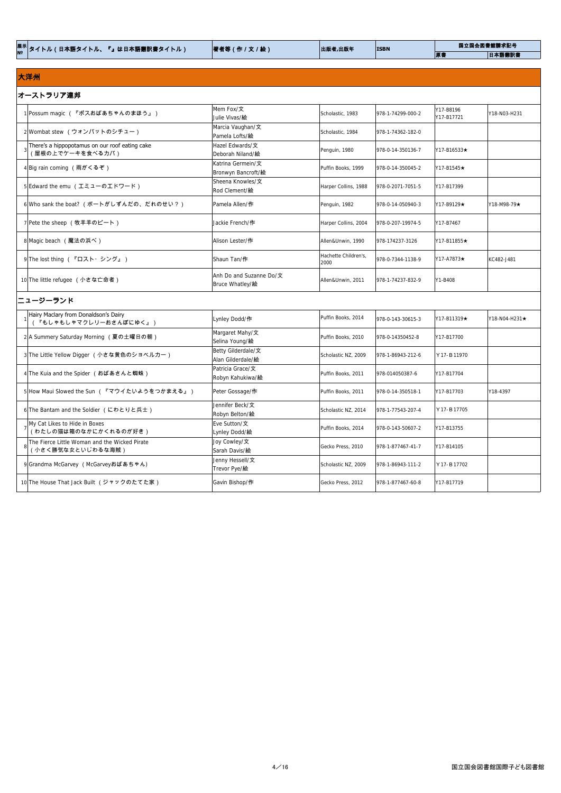| 日本語翻訳書<br>原書 |  | <sup>展示│</sup> タイトル(日本語タイトル、『』は日本語翻訳書タイトル) | 著者等(作/文/絵) | 出版者,出版年 | <b>ISBN</b> | 国立国会図書館請求記号 |  |
|--------------|--|--------------------------------------------|------------|---------|-------------|-------------|--|
|              |  |                                            |            |         |             |             |  |

# 大洋州

| オーストラリア連邦                                                          |                                            |                              |                   |                         |                   |  |  |  |
|--------------------------------------------------------------------|--------------------------------------------|------------------------------|-------------------|-------------------------|-------------------|--|--|--|
| 1 Possum magic (『ポスおばあちゃんのまほう』)                                    | Mem Fox/文<br>Julie Vivas/ <b>絵</b>         | Scholastic, 1983             | 978-1-74299-000-2 | Y17-B8196<br>Y17-B17721 | Y18-N03-H231      |  |  |  |
| 2 Wombat stew (ウォンバットのシチュー)                                        | Marcia Vaughan/文<br>Pamela Lofts/絵         | Scholastic, 1984             | 978-1-74362-182-0 |                         |                   |  |  |  |
| There's a hippopotamus on our roof eating cake<br>(屋根の上でケーキを食べるカバ) | Hazel Edwards/文<br>Deborah Niland/絵        | Penguin, 1980                | 978-0-14-350136-7 | $Y17 - B16533+$         |                   |  |  |  |
| 4 Big rain coming (雨がくるぞ)                                          | Katrina Germein/文<br>Bronwyn Bancroft/絵    | Puffin Books, 1999           | 978-0-14-350045-2 | Y17-B1545★              |                   |  |  |  |
| 5 Edward the emu (エミューのエドワード)                                      | Sheena Knowles/文<br>Rod Clement/絵          | Harper Collins, 1988         | 978-0-2071-7051-5 | Y17-B17399              |                   |  |  |  |
| 6 Who sank the boat? (ボートがしずんだの、だれのせい?)                            | Pamela Allen/作                             | Penguin, 1982                | 978-0-14-050940-3 | Y17-B9129★              | $Y18-M98-79\star$ |  |  |  |
| 7 Pete the sheep (牧羊羊のピート)                                         | Jackie French/作                            | Harper Collins, 2004         | 978-0-207-19974-5 | Y17-B7467               |                   |  |  |  |
| 8 Magic beach (魔法の浜べ)                                              | Alison Lester/ <b>作</b>                    | Allen&Unwin, 1990            | 978-174237-3126   | Y17-B11855★             |                   |  |  |  |
| 9 The lost thing (『ロスト・シング』)                                       | Shaun Tan/作                                | Hachette Children's,<br>2000 | 978-0-7344-1138-9 | Y17-A7873★              | KC482-J481        |  |  |  |
| 10 The little refugee (小さな亡命者)                                     | Anh Do and Suzanne Do/文<br>Bruce Whatley/絵 | Allen&Unwin, 2011            | 978-1-74237-832-9 | Y1-B408                 |                   |  |  |  |

# ニュージーランド

| Hairy Maclary from Donaldson's Dairy<br>『もしゃもしゃマクレリーおさんぽにゆく』)      | Lynley Dodd/作                           | Puffin Books, 2014  | 978-0-143-30615-3 | Y17-B11319★             | $\overline{Y}$ 18-NO4-H231 $\overline{\star}$ |
|--------------------------------------------------------------------|-----------------------------------------|---------------------|-------------------|-------------------------|-----------------------------------------------|
| 2A Summery Saturday Morning (夏の土曜日の朝)                              | Margaret Mahy/文<br>Selina Young/絵       | Puffin Books, 2010  | 978-0-14350452-8  | Y17-B17700              |                                               |
| 3 The Little Yellow Digger (小さな黄色のショベルカー)                          | Betty Gilderdale/文<br>Alan Gilderdale/絵 | Scholastic NZ, 2009 | 978-1-86943-212-6 | $Y$ 17 - <b>B</b> 11970 |                                               |
| 4 The Kuia and the Spider (おばあさんと蜘蛛)                               | Patricia Grace/文<br>Robyn Kahukiwa/絵    | Puffin Books, 2011  | 978-014050387-6   | Y17-B17704              |                                               |
| 5 How Maui Slowed the Sun ( 『マウイたいようをつかまえる』)                       | Peter Gossage/作                         | Puffin Books, 2011  | 978-0-14-350518-1 | Y17-B17703              | Y18-4397                                      |
| 6 The Bantam and the Soldier (にわとりと兵士)                             | Jennifer Beck/文<br>Robyn Belton/絵       | Scholastic NZ, 2014 | 978-1-77543-207-4 | Y 17-B 17705            |                                               |
| My Cat Likes to Hide in Boxes<br>(わたしの猫は箱のなかにかくれるのが好き)             | Eve Sutton/文<br>Lynley Dodd/絵           | Puffin Books, 2014  | 978-0-143-50607-2 | Y17-B13755              |                                               |
| The Fierce Little Woman and the Wicked Pirate<br>(小さく勝気な女といじわるな海賊) | Joy Cowley/文<br>Sarah Davis/絵           | Gecko Press, 2010   | 978-1-877467-41-7 | Y17-B14105              |                                               |
| 9 Grandma McGarvey (McGarveyおばあちゃん)                                | Jenny Hessell/文<br>Trevor Pye/絵         | Scholastic NZ, 2009 | 978-1-86943-111-2 | Y 17-B 17702            |                                               |
| 10 The House That Jack Built (ジャックのたてた家)                           | Gavin Bishop/作                          | Gecko Press, 2012   | 978-1-877467-60-8 | Y17-B17719              |                                               |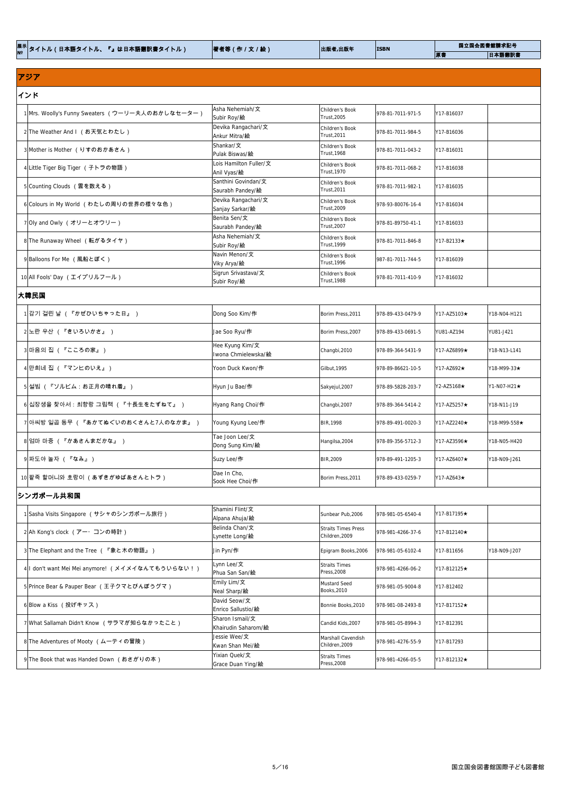| 日本語翻訳書<br>原書 | <sup>展示│</sup> タイトル(日本語タイトル、『』は日本語翻訳書タイトル) | 著者等(作/文/絵) | 出版者,出版年 | <b>ISBN</b> | 国立国会図書館請求記号 |
|--------------|--------------------------------------------|------------|---------|-------------|-------------|
|              |                                            |            |         |             |             |

# アジア

| インド                                              |                                         |                                |                   |                  |              |
|--------------------------------------------------|-----------------------------------------|--------------------------------|-------------------|------------------|--------------|
| 1 Mrs. Woolly's Funny Sweaters (ウーリー夫人のおかしなセーター) | Asha Nehemiah/文<br>Subir Roy/絵          | Children's Book<br>Trust, 2005 | 978-81-7011-971-5 | Y17-B16037       |              |
| 2 The Weather And I (お天気とわたし)                    | Devika Rangachari/文<br>Ankur Mitra/絵    | Children's Book<br>Trust, 2011 | 978-81-7011-984-5 | Y17-B16036       |              |
| 3 Mother is Mother (りすのおかあさん)                    | Shankar/文<br>Pulak Biswas/絵             | Children's Book<br>Trust, 1968 | 978-81-7011-043-2 | Y17-B16031       |              |
| 4 Little Tiger Big Tiger (子トラの物語)                | Lois Hamilton Fuller/文<br>Anil Vyas/絵   | Children's Book<br>Trust, 1970 | 978-81-7011-068-2 | Y17-B16038       |              |
| 5 Counting Clouds (雲を数える)                        | Santhini Govindan/文<br>Saurabh Pandey/絵 | Children's Book<br>Trust, 2011 | 978-81-7011-982-1 | Y17-B16035       |              |
| 6 Colours in My World (わたしの周りの世界の様々な色)           | Devika Rangachari/文<br>Sanjay Sarkar/絵  | Children's Book<br>Trust, 2009 | 978-93-80076-16-4 | Y17-B16034       |              |
| 7 Oly and Owly (オリーとオウリー)                        | Benita Sen/文<br>Saurabh Pandey/絵        | Children's Book<br>Trust, 2007 | 978-81-89750-41-1 | Y17-B16033       |              |
| 8 The Runaway Wheel (転がるタイヤ)                     | Asha Nehemiah/文<br>Subir Roy/絵          | Children's Book<br>Trust, 1999 | 978-81-7011-846-8 | $Y17-B2133\star$ |              |
| 9 Balloons For Me (風船とぼく)                        | Navin Menon/文<br>Viky Arya/絵            | Children's Book<br>Trust, 1996 | 987-81-7011-744-5 | Y17-B16039       |              |
| 10 All Fools' Day (エイプリルフール)                     | Sigrun Srivastava/文<br>Subir Roy/絵      | Children's Book<br>Trust, 1988 | 978-81-7011-410-9 | Y17-B16032       |              |
| 大韓民国                                             |                                         |                                |                   |                  |              |
| 1 감기 걸린 날 (『かぜひいちゃった日』 )                         | Dong Soo Kim/作                          | Borim Press, 2011              | 978-89-433-0479-9 | Y17-AZ5103★      | Y18-N04-H121 |
| 2 노란 우산 ( 『きいろいかさ』 )                             | Jae Soo Ryu/作                           | Borim Press, 2007              | 978-89-433-0691-5 | YU81-AZ194       | YU81-J421    |

| 2 노란 우산 ( 『きいろいかさ』 )                | Jae Soo Ryu/作                          | Borim Press, 2007 | 978-89-433-0691-5  | <b>YU81-AZ194</b>    | YU81-J421          |
|-------------------------------------|----------------------------------------|-------------------|--------------------|----------------------|--------------------|
| 3 마음의 집 (『こころの家』)                   | Hee Kyung Kim/文<br>Iwona Chmielewska/絵 | Changbi, 2010     | 978-89-364-5431-9  | Y17-AZ6899★          | Y18-N13-L141       |
| 4 만희네 집 (『マンヒのいえ』)                  | Yoon Duck Kwon/ <b>作</b>               | Gilbut, 1995      | 978-89-86621-10-5  | Y17-AZ692★           | $Y18-M99-33*$      |
| 5   설빔 (『ソルビム:お正月の晴れ着』)             | Hyun Ju Bae/作                          | Sakyejul, 2007    | 978-89-5828-203-7  | Y2-AZ5168★           | $YY1-N07-H21\star$ |
| 6 십장생을 찾아서 : 최향랑 그림책 (『十長生をたずねて』 )  | Hyang Rang Choi/作                      | Changbi, 2007     | 978-89-364-5414-2  | $Y17 - AZ5257 \star$ | Y18-N11-J19        |
| 7 아씨방 일곱 동무 (『あかてぬぐいのおくさんと7人のなかま』 ) | Young Kyung Lee/作                      | BIR, 1998         | 978-89-491-0020-3  | Y17-AZ2240★          | Y18-M99-558★       |
| 8 엄마 마중 ( 『かあさんまだかな』 )              | Tae Joon Lee/文<br>Dong Sung Kim/絵      | Hangilsa, 2004    | 978-89-356-5712-3  | Y17-AZ3596★          | Y18-N05-H420       |
| 9 파도야 놀자 (『なみ』)                     | Suzy Lee/作                             | BIR, 2009         | 1978-89-491-1205-3 | Y17-AZ6407★          | Y18-N09-J261       |
| 10 팥죽 할머니와 호랑이 (あずきがゆばあさんとトラ)       | Dae In Cho,<br>Sook Hee Choi/作         | Borim Press, 2011 | 978-89-433-0259-7  | $Y17 - AZ643\star$   |                    |
| <b> シンガポール共和国</b>                   |                                        |                   |                    |                      |                    |

| 1 Sasha Visits Singapore (サシャのシンガポール旅行)          | Shamini Flint/文<br>Alpana Ahuja/絵      | Sunbear Pub, 2006                            | 978-981-05-6540-4  | $Y17 - B17195 \star$ |              |
|--------------------------------------------------|----------------------------------------|----------------------------------------------|--------------------|----------------------|--------------|
| 2 Ah Kong's clock (アー・コンの時計)                     | Belinda Chan/文<br>Lynette Long/絵       | <b>Straits Times Press</b><br>Children, 2009 | 978-981-4266-37-6  | $Y17 - B12140\star$  |              |
| 3 The Elephant and the Tree (『象と木の物語』)           | Jin Pyn/ <b>作</b>                      | Epigram Books, 2006                          | 1978-981-05-6102-4 | Y17-B11656           | Y18-N09-J207 |
| 4 I don't want Mei Mei anymore! (メイメイなんてもういらない!) | Lynn Lee/文<br>Phua San San/絵           | <b>Straits Times</b><br>Press, 2008          | 978-981-4266-06-2  | Y17-B12125★          |              |
| 5 Prince Bear & Pauper Bear (王子クマとびんぼうグマ)        | Emily Lim/文<br>Neal Sharp/絵            | Mustard Seed<br>Books, 2010                  | 978-981-05-9004-8  | Y17-B12402           |              |
| 6Blow a Kiss (投げキッス)                             | David Seow/文<br>Enrico Sallustio/絵     | Bonnie Books, 2010                           | 978-981-08-2493-8  | Y17-B17152★          |              |
| 7 What Sallamah Didn't Know (サラマが知らなかったこと)       | Sharon Ismail/文<br>Khairudin Saharom/絵 | Candid Kids, 2007                            | 978-981-05-8994-3  | Y17-B12391           |              |
| 8 The Adventures of Mooty (ムーティの冒険)              | Jessie Wee/文<br>Kwan Shan Mei/絵        | Marshall Cavendish<br>Children, 2009         | 978-981-4276-55-9  | Y17-B17293           |              |
| 9 The Book that was Handed Down (おさがりの本)         | Yixian Quek/文<br>Grace Duan Ying/絵     | <b>Straits Times</b><br>Press, 2008          | 978-981-4266-05-5  | Y17-B12132★          |              |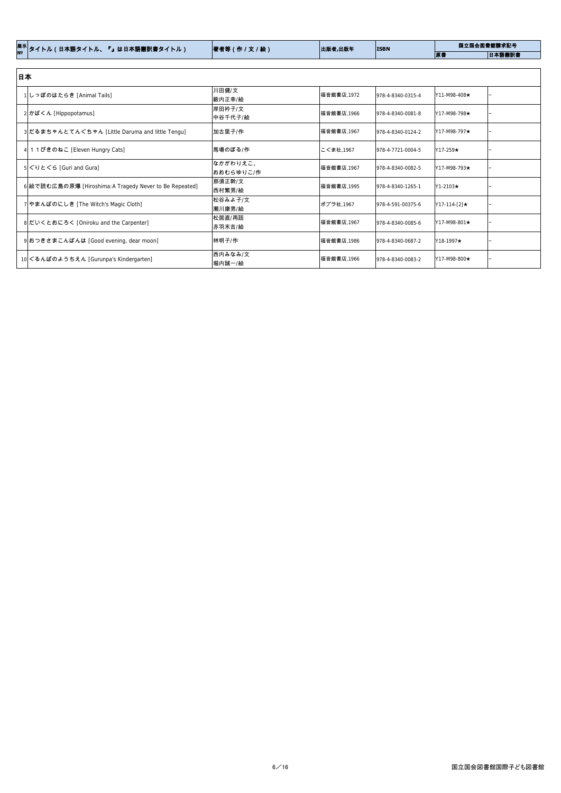| │ <sup>展示│</sup> タイトル(日本語タイトル、『』は日本語翻訳書タイトル) | 著者等(作/文/絵) | 出版者,出版年 | <b>ISBN</b> | 国立国会図書館請求記号 |        |
|----------------------------------------------|------------|---------|-------------|-------------|--------|
|                                              |            |         |             | 原書          | 日本語翻訳書 |

| 日本                                                      |                       |             |                   |                     |  |
|---------------------------------------------------------|-----------------------|-------------|-------------------|---------------------|--|
| しっぽのはたらき [Animal Tails]                                 | 川田健/文<br>薮内正幸/絵       | 福音館書店,1972  | 978-4-8340-0315-4 | $Y11 - M98 - 408$ ★ |  |
| $2$ <b>かばくん</b> [Hippopotamus]                          | 岸田衿子/文<br>中谷千代子/絵     | 福音館書店, 1966 | 978-4-8340-0081-8 | Y17-M98-798★        |  |
| 3 だるまちゃんとてんぐちゃん [Little Daruma and little Tengu]        | 加古里子/作                | 福音館書店 1967  | 978-4-8340-0124-2 | $Y17-M98-797\star$  |  |
| 4 1 1 ぴきのねこ [Eleven Hungry Cats]                        | 馬場のぼる/作               | こぐま社,1967   | 978-4-7721-0004-5 | $Y17-259\star$      |  |
| $5$ ぐりとぐら [Guri and Gura]                               | なかがわりえこ、<br>おおむらゆりこ/作 | 福音館書店,1967  | 978-4-8340-0082-5 | Y17-M98-793★        |  |
| 6 絵で読む広島の原爆 [Hiroshima: A Tragedy Never to Be Repeated] | 那須正幹/文<br>西村繁男/絵      | 福音館書店, 1995 | 978-4-8340-1265-1 | Y1-2103★            |  |
| 7 やまんばのにしき [The Witch's Magic Cloth]                    | 松谷みよ子/文<br>瀬川康男/絵     | ポプラ社,1967   | 978-4-591-00375-6 | $Y17-114-[2] \star$ |  |
| 8 だいくとおにろく [Oniroku and the Carpenter]                  | 松居直/再話<br>赤羽末吉/絵      | 福音館書店 1967  | 978-4-8340-0085-6 | $Y17-M98-801\star$  |  |
| 9おつきさまこんばんは [Good evening, dear moon]                   | 林明子/作                 | 福音館書店,1986  | 978-4-8340-0687-2 | $Y18-1997\star$     |  |
| 10 ぐるんぱのようちえん [Gurunpa's Kindergarten]                  | 西内みなみ/文<br> 堀内誠一/絵    | 福音館書店,1966  | 978-4-8340-0083-2 | Y17-M98-800★        |  |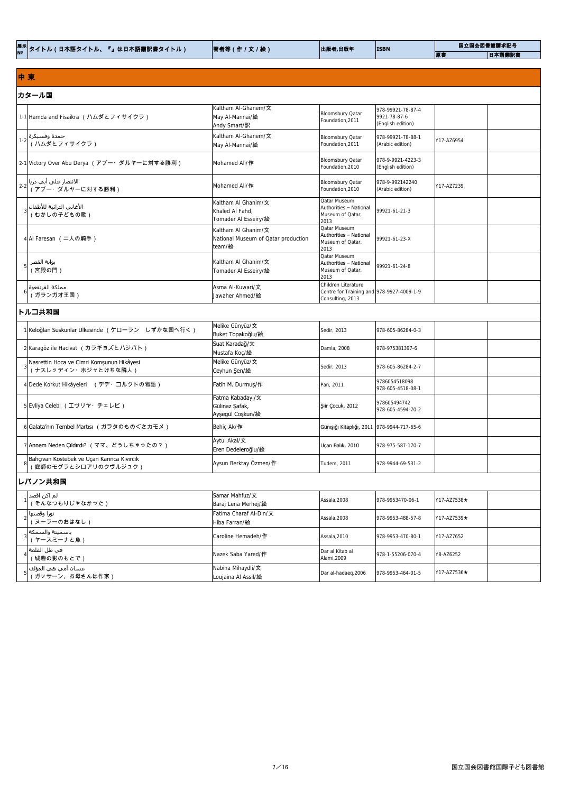|  | <sup>展示│</sup> タイトル(日本語タイトル、『』は日本語翻訳書タイトル) | 著者等(作 / 文 / 絵) | 出版者,出版年 | <b>ISBN</b> | 国立国会図書館請求記号 |        |
|--|--------------------------------------------|----------------|---------|-------------|-------------|--------|
|  |                                            |                |         |             | 原書          | 日本語翻訳書 |

### 中 東

| カタール国                                                                        |                                                                      |                                                                                      |                                                        |            |  |  |  |
|------------------------------------------------------------------------------|----------------------------------------------------------------------|--------------------------------------------------------------------------------------|--------------------------------------------------------|------------|--|--|--|
| 1-1 Hamda and Fisaikra (ハムダとフィサイクラ)                                          | Kaltham Al-Ghanem/文<br>May Al-Mannai/絵<br> Andy Smart/ <b>訳</b>      | Bloomsbury Qatar<br>Foundation, 2011                                                 | 978-99921-78-87-4<br>9921-78-87-6<br>(English edition) |            |  |  |  |
| حمدة وفسيكرة $1-2$ ( ハムダとフィサイクラ )                                            | Kaltham Al-Ghanem/文<br>May Al-Mannai/絵                               | Bloomsbury Qatar<br>Foundation, 2011                                                 | 978-99921-78-88-1<br>(Arabic edition)                  | Y17-AZ6954 |  |  |  |
| 2-1 Victory Over Abu Derya (アブー・ダルヤーに対する勝利)                                  | Mohamed Ali/作                                                        | Bloomsbury Qatar<br>Foundation, 2010                                                 | 978-9-9921-4223-3<br>(English edition)                 |            |  |  |  |
| الانتصار على أبي دريا $^{-2\left\vert \cdot\right\vert }$ ( アブー・ダルヤーに対する勝利 ) | Mohamed Ali/作                                                        | Bloomsbury Qatar<br>Foundation, 2010                                                 | 978-9-992142240<br>(Arabic edition)                    | Y17-AZ7239 |  |  |  |
| الأغاني التراثية للأطفال <br>(むかしの子どもの歌)                                     | Kaltham Al Ghanim/文<br>Khaled Al Fahd,<br>Tomader AI Esseiry/絵       | Qatar Museum<br>Authorities - National<br>Museum of Qatar,<br>2013                   | 99921-61-21-3                                          |            |  |  |  |
| 4AI Faresan (二人の騎手)                                                          | Kaltham Al Ghanim/文<br>National Museum of Qatar production<br>team/絵 | Qatar Museum<br>Authorities - National<br>Museum of Qatar,<br>2013                   | 99921-61-23-X                                          |            |  |  |  |
| بوابة القصر<br>(宮殿の門)                                                        | Kaltham Al Ghanim/文<br>Tomader AI Esseiry/絵                          | Qatar Museum<br>Authorities - National<br>Museum of Qatar,<br>2013                   | 99921-61-24-8                                          |            |  |  |  |
| مملكة القرنقعوة <br>(ガランガオ王国)                                                | Asma Al-Kuwari/文<br>Jawaher Ahmed/絵                                  | Children Literature<br>Centre for Training and 978-9927-4009-1-9<br>Consulting, 2013 |                                                        |            |  |  |  |

# トルコ共和国

| Keloğlan Suskunlar Ülkesinde (ケローラン しずかな国へ行く)                       | Melike Günyüz/文<br>Buket Topakoğlu/絵                   | Sedir, 2013                                | 978-605-86284-0-3                        |
|---------------------------------------------------------------------|--------------------------------------------------------|--------------------------------------------|------------------------------------------|
| 2 Karagöz ile Hacivat (カラギョズとハジバト)                                  | Suat Karadağ/文<br>Mustafa Koç/絵                        | Damla, 2008                                | 978-975381397-6                          |
| Nasrettin Hoca ve Cimri Komşunun Hikâyesi<br>(ナスレッディン・ホジャとけちな隣人)    | Melike Günyüz/文<br>Ceyhun Şen/絵                        | Sedir, 2013                                | 978-605-86284-2-7                        |
| 4 Dede Korkut Hikâyeleri (デデ・コルクトの物語)                               | Fatih M. Durmus/作                                      | Pan. 2011                                  | 9786054518098<br>978-605-4518-08-1       |
| 5 Evliya Celebi (エヴリヤ・チェレビ)                                         | Fatma Kabadayı/文<br>Gülinaz Şafak,<br>Ayşegül Coşkun/絵 | Siir Çocuk, 2012                           | 978605494742<br>978-605-4594-70-2        |
| 6 Galata′nın Tembel Martısı (ガラタのものぐさカモメ)                           | Behiç Ak/作                                             | Günişiği Kitaplığı, 2011 978-9944-717-65-6 |                                          |
| 7 Annem Neden Çıldırdı? (ママ、どうしちゃったの?)                              | Aytul Akal/文<br>Eren Dedeleroğlu/絵                     | Uçan Balık, 2010                           | 978-975-587-170-7                        |
| Bahçıvan Köstebek ve Uçan Karınca Kıvırcık<br>(庭師のモグラとシロアリのクヴルジュク ) | Aysun Berktay Özmen/作                                  | Tudem, 2011                                | 978-9944-69-531-2                        |
| レバノン共和国                                                             |                                                        |                                            |                                          |
| لم اکن اقصد <br>(そんなつもりじゃなかった)                                      | Samar Mahfuz/文<br>Baraj Lena Merhej/絵                  | Assala, 2008                               | 978-9953470-06-1<br>$Y17 - AZ7538 \star$ |

| ِ نورا وقصتها<br> (ヌーラーのおはなし)           | Fatima Charaf Al-Din/文<br>Hiba Farran/絵  | Assala,2008                     | 978-9953-488-57-8 | $YY17 - AZ7539 \star$ |
|-----------------------------------------|------------------------------------------|---------------------------------|-------------------|-----------------------|
| ياسمينة والسمكة <br>(ヤースミーナと魚)          | Caroline Hemadeh/作                       | Assala, 2010                    | 978-9953-470-80-1 | Y17-AZ7652            |
| ِ في ظل القلعة∣<br>(城砦の影のもとで)           | Nazek Saba Yared/作                       | lDar al Kitab al<br>Alami, 2009 | 978-1-55206-070-4 | Y8-AZ6252             |
| غسـان أمي هي المؤلف <br>(ガッサーン、お母さんは作家) | Nabiha Mihaydli/文<br>Loujaina Al Assil/絵 | Dar al-hadaeg, 2006             | 978-9953-464-01-5 | $Y17-A77536\star$     |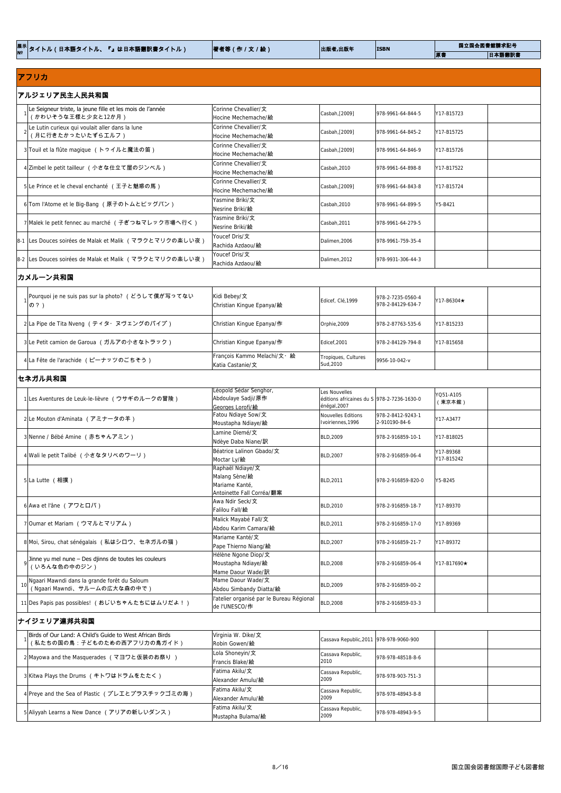|                                                                                         | 著者等(作/文/絵)                                                                       | 出版者,出版年                                                                       | <b>ISBN</b>                            | 国立国会図書館請求記号             |
|-----------------------------------------------------------------------------------------|----------------------------------------------------------------------------------|-------------------------------------------------------------------------------|----------------------------------------|-------------------------|
| │ <sup>展示│</sup> タイトル(日本語タイトル、『』は日本語翻訳書タイトル)                                            |                                                                                  |                                                                               |                                        | 原書<br>日本語翻訳書            |
| アフリカ                                                                                    |                                                                                  |                                                                               |                                        |                         |
| アルジェリア民主人民共和国                                                                           |                                                                                  |                                                                               |                                        |                         |
| Le Seigneur triste, la jeune fille et les mois de l'année<br>(かわいそうな王様と少女と12か月)         | Corinne Chevallier/文<br>Hocine Mechemache/絵                                      | Casbah, [2009]                                                                | 978-9961-64-844-5                      | Y17-B15723              |
| Le Lutin curieux qui voulait aller dans la lune<br>(月に行きたかったいたずらエルフ)                    | Corinne Chevallier/文<br>Hocine Mechemache/絵                                      | Casbah, [2009]                                                                | 978-9961-64-845-2                      | Y17-B15725              |
| 3 Touil et la flûte magique (トゥイルと魔法の笛)                                                 | Corinne Chevallier/文                                                             | Casbah, [2009]                                                                | 978-9961-64-846-9                      | Y17-B15726              |
|                                                                                         | Hocine Mechemache/絵<br>Corinne Chevallier/文                                      |                                                                               |                                        |                         |
| 4 Zimbel le petit tailleur (小さな仕立て屋のジンベル)                                               | Hocine Mechemache/絵<br>Corinne Chevallier/文                                      | Casbah, 2010                                                                  | 978-9961-64-898-8                      | Y17-B17522              |
| 5Le Prince et le cheval enchanté (王子と魅惑の馬)                                              | Hocine Mechemache/絵                                                              | Casbah, [2009]                                                                | 978-9961-64-843-8                      | Y17-B15724              |
| 6 Tom l'Atome et le Big-Bang (原子のトムとビッグバン)                                              | Yasmine Briki/文<br>Nesrine Briki/絵                                               | Casbah, 2010                                                                  | 978-9961-64-899-5                      | Y5-B421                 |
| 7 Malek le petit fennec au marché (子ぎつねマレック市場へ行く)                                       | Yasmine Briki/文<br>Nesrine Briki/絵                                               | Casbah, 2011                                                                  | 978-9961-64-279-5                      |                         |
| 8-1  Les Douces soirées de Malak et Malik (マラクとマリクの楽しい夜)                                | Youcef Dris/文<br>Rachida Azdaou/絵                                                | Dalimen, 2006                                                                 | 978-9961-759-35-4                      |                         |
| 8-2  Les Douces soirées de Malak et Malik (マラクとマリクの楽しい夜)                                | Youcef Dris/文<br>Rachida Azdaou/絵                                                | Dalimen, 2012                                                                 | 978-9931-306-44-3                      |                         |
| カメルーン共和国                                                                                |                                                                                  |                                                                               |                                        |                         |
| Pourquoi je ne suis pas sur la photo? (どうして僕が写ってない<br>の?)                               | Kidi Bebey/文<br>Christian Kingue Epanya/絵                                        | Edicef, Clé, 1999                                                             | 978-2-7235-0560-4<br>978-2-84129-634-7 | Y17-B6304★              |
| 2 La Pipe de Tita Nveng (ティタ・ヌヴェングのパイプ)                                                 | Christian Kingue Epanya/作                                                        | Orphie, 2009                                                                  | 978-2-87763-535-6                      | Y17-B15233              |
| 3 Le Petit camion de Garoua (ガルアの小さなトラック)                                               | Christian Kingue Epanya/作                                                        | Edicef, 2001                                                                  | 978-2-84129-794-8                      | Y17-B15658              |
| 4 La Fête de l'arachide (ピーナッツのごちそう)                                                    | François Kammo Melachi/文· 絵<br>Katia Castanie/文                                  | Tropiques, Cultures<br>Sud, 2010                                              | 9956-10-042-v                          |                         |
| セネガル共和国                                                                                 |                                                                                  |                                                                               |                                        |                         |
| 1 Les Aventures de Leuk-le-lièvre <b>(ウサギのルークの冒険)</b>                                   | Léopold Sédar Senghor,<br>Abdoulaye Sadji/原作<br>Georges Lorofi/絵                 | Les Nouvelles<br>éditions africaines du $S$ 978-2-7236-1630-0<br>énégal, 2007 |                                        | YQ51-A105<br>(東京本館)     |
| 2 Le Mouton d'Aminata (アミナータの羊)                                                         | Fatou Ndiaye Sow/文<br>Moustapha Ndiaye/絵                                         | Nouvelles Editions<br>Ivoiriennes, 1996                                       | 978-2-8412-9243-1<br>2-910190-84-6     | Y17-A3477               |
| 3 Nenne / Bébé Amine (赤ちゃんアミン)                                                          | Lamine Diemé/文<br>Ndèye Daba Niane/訳                                             | BLD, 2009                                                                     | 978-2-916859-10-1                      | Y17-B18025              |
| 4 Wali le petit Talibé (小さなタリベのワーリ)                                                     | Béatrice Lalinon Gbado/文<br>Moctar Ly/絵                                          | <b>BLD, 2007</b>                                                              | 978-2-916859-06-4                      | Y17-B9368<br>Y17-B15242 |
| 5 La Lutte (相撲)                                                                         | Raphaël Ndiaye/文<br>Malang Sène/絵<br>Mariame Kanté,<br>Antoinette Fall Corréa/翻案 | <b>BLD, 2011</b>                                                              | 978-2-916859-820-0                     | Y5-B245                 |
| $6$ Awa et l'âne (アワとロバ)                                                                | Awa Ndir Seck/文<br>Falilou Fall/絵                                                | <b>BLD, 2010</b>                                                              | 978-2-916859-18-7                      | Y17-B9370               |
| 7 Oumar et Mariam (ウマルとマリアム)                                                            | Malick Mayabé Fall/文<br>Abdou Karim Camara/絵                                     | BLD, 2011                                                                     | 978-2-916859-17-0                      | Y17-B9369               |
| 8 Moi, Sirou, chat sénégalais (私はシロウ、セネガルの猫)                                            | Mariame Kanté/文<br>Pape Thierno Niang/絵<br>Hélène Ngone Diop/文                   | <b>BLD, 2007</b>                                                              | 978-2-916859-21-7                      | Y17-B9372               |
| Jinne yu mel nune – Des djinns de toutes les couleurs<br>(いろんな色の中のジン)                   | Moustapha Ndiaye/絵<br>Mame Daour Wade/訳                                          | <b>BLD, 2008</b>                                                              | 978-2-916859-06-4                      | Y17-B17690★             |
| Ngaari Mawndi dans la grande forêt du Saloum<br>10<br>(Ngaari Mawndi、サルームの広大な森の中で)      | Mame Daour Wade/文<br>Abdou Simbandy Diatta/絵                                     | <b>BLD, 2009</b>                                                              | 978-2-916859-00-2                      |                         |
| 11 Des Papis pas possibles! (おじいちゃんたちにはムリだよ!)                                           | l'atelier organisé par le Bureau Régional<br>de l'UNESCO/ <b>作</b>               | <b>BLD, 2008</b>                                                              | 978-2-916859-03-3                      |                         |
| ナイジェリア連邦共和国                                                                             |                                                                                  |                                                                               |                                        |                         |
| Birds of Our Land: A Child's Guide to West African Birds<br>(私たちの国の鳥:子どものための西アフリカの鳥ガイド) | Virginia W. Dike/文<br>Robin Gowen/絵                                              | Cassava Republic, 2011 978-978-9060-900                                       |                                        |                         |
| 2 Mayowa and the Masquerades (マヨワと仮装のお祭り)                                               | Lola Shoneyin/文<br>Francis Blake/絵                                               | Cassava Republic,<br>2010-                                                    | 978-978-48518-8-6                      |                         |
| 3 Kitwa Plays the Drums (キトワはドラムをたたく)                                                   | Fatima Akilu/文<br>Alexander Amulu/絵                                              | Cassava Republic,<br>2009                                                     | 978-978-903-751-3                      |                         |
| 4 Preye and the Sea of Plastic (プレエとプラスチックゴミの海)                                         | Fatima Akilu/文<br>Alexander Amulu/絵                                              | Cassava Republic,<br>2009                                                     | 978-978-48943-8-8                      |                         |
| 5 Aliyyah Learns a New Dance (アリアの新しいダンス)                                               | Fatima Akilu/文<br>Mustapha Bulama/絵                                              | Cassava Republic,<br>2009                                                     | 978-978-48943-9-5                      |                         |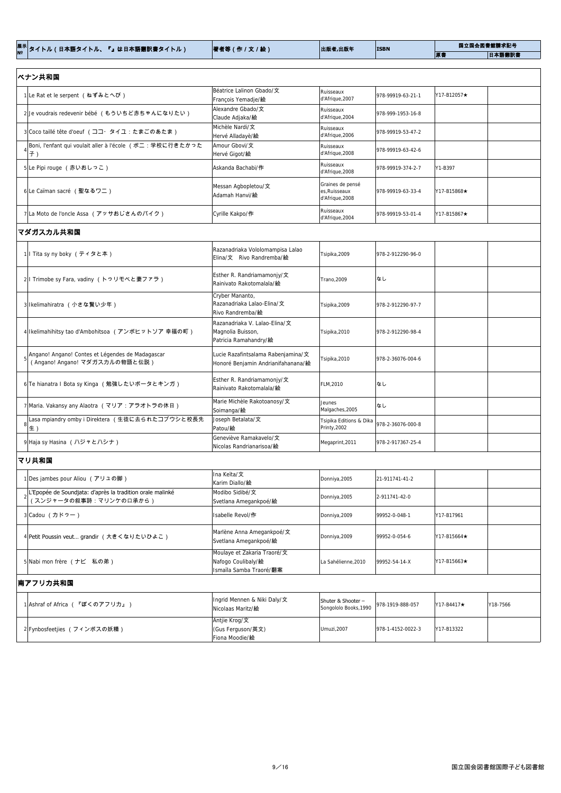| │ <sup>展示│</sup> タイトル(日本語タイトル、『』は日本語翻訳書タイトル) | 著者等(作 / 文 / 絵) | 出版者,出版年 | <b>ISBN</b> | 国立国会図書館請求記号 |        |
|----------------------------------------------|----------------|---------|-------------|-------------|--------|
|                                              |                |         |             | 原書          | 日本語翻訳書 |

| ベナン共和国                                                                             |                                                                             |                                                      |                   |             |  |
|------------------------------------------------------------------------------------|-----------------------------------------------------------------------------|------------------------------------------------------|-------------------|-------------|--|
| 1Le Rat et le serpent (ねずみとへび)                                                     | Béatrice Lalinon Gbado/文<br>François Yemadje/絵                              | Ruisseaux<br>d'Afrique, 2007                         | 978-99919-63-21-1 | Y17-B12057★ |  |
| 2 Je voudrais redevenir bébé (もういちど赤ちゃんになりたい)                                      | Alexandre Gbado/文<br>Claude Adjaka/絵                                        | Ruisseaux<br>d'Afrique, 2004                         | 978-999-1953-16-8 |             |  |
| 3 Coco taillé tête d'oeuf (ココ・タイユ:たまごのあたま)                                         | Michèle Nardi/文<br>Hervé Alladayè/絵                                         | Ruisseaux<br>d'Afrique, 2006                         | 978-99919-53-47-2 |             |  |
| Boni, l'enfant qui voulait aller à l'école (ボニ:学校に行きたかった<br>子)                     | Amour Gbovi/文<br>Hervé Gigot/絵                                              | Ruisseaux<br>d'Afrique, 2008                         | 978-99919-63-42-6 |             |  |
| 5Le Pipi rouge (赤いおしっこ)                                                            | Askanda Bachabi/作                                                           | Ruisseaux<br>d'Afrique, 2008                         | 978-99919-374-2-7 | Y1-B397     |  |
| 6Le Caïman sacré (聖なるワニ)                                                           | Messan Agbopletou/文<br>Adamah Hanvi/絵                                       | Graines de pensé<br>es, Ruisseaux<br>d'Afrique, 2008 | 978-99919-63-33-4 | Y17-B15868★ |  |
| 7 La Moto de l'oncle Assa (アッサおじさんのバイク)                                            | Cyrille Kakpo/作                                                             | Ruisseaux<br>d'Afrique, 2004                         | 978-99919-53-01-4 | Y17-B15867★ |  |
| マダガスカル共和国                                                                          |                                                                             |                                                      |                   |             |  |
| 1 I Tita sy ny boky (ティタと本)                                                        | Razanadriaka Vololomampisa Lalao<br>Elina/文 Rivo Randremba/絵                | Tsipika, 2009                                        | 978-2-912290-96-0 |             |  |
| 2 I Trimobe sy Fara, vadiny (トゥリモベと妻ファラ)                                           | Esther R. Randriamamonjy/文<br>Rainivato Rakotomalala/絵                      | Trano, 2009                                          | なし                |             |  |
| 3 Ikelimahiratra (小さな賢い少年)                                                         | Cryber Mananto,<br>Razanadriaka Lalao-Elina/文<br>Rivo Randremba/絵           | Tsipika, 2009                                        | 978-2-912290-97-7 |             |  |
| 4 Ikelimahihitsy tao d'Ambohitsoa (アンボヒットソア 幸福の町)                                  | Razanadriaka V. Lalao-Elina/文<br>Magnolia Buisson,<br>Patricia Ramahandry/絵 | Tsipika, 2010                                        | 978-2-912290-98-4 |             |  |
| Angano! Angano! Contes et Légendes de Madagascar<br>(Angano! Angano! マダガスカルの物語と伝説) | Lucie Razafintsalama Rabenjamina/文<br>Honoré Benjamin Andrianifahanana/絵    | Tsipika, 2010                                        | 978-2-36076-004-6 |             |  |
| 6 Te hianatra I Bota sy Kinga (勉強したいボータとキンガ)                                       | Esther R. Randriamamonjy/ $\pm$<br>Rainivato Rakotomalala/絵                 | FLM, 2010                                            | なし                |             |  |
| 7 Maria. Vakansy any Alaotra (マリア:アラオトラの休日)                                        | Marie Michèle Rakotoanosy/文<br>Soimanga/絵                                   | <b>Jeunes</b><br>Malgaches, 2005                     | なし                |             |  |
| Lasa mpiandry omby i Direktera (生徒に去られたコブウシと校長先<br>生)                              | Joseph Betalata/文<br>Patou/絵                                                | Tsipika Editions & Dika<br>Printy, 2002              | 978-2-36076-000-8 |             |  |
| 9 Haja sy Hasina (ハジャとハシナ)                                                         | Geneviève Ramakavelo/文<br>Nicolas Randrianarisoa/絵                          | Megaprint, 2011                                      | 978-2-917367-25-4 |             |  |
| マリ共和国                                                                              |                                                                             |                                                      |                   |             |  |
| 1Des jambes pour Aliou (アリュの脚)                                                     | Ina Keïta/文<br>Karim Diallo/絵                                               | Donniya, 2005                                        | 21-911741-41-2    |             |  |

2

L'Epopée de Soundjata: d'après la tradition orale malinké

(スンジャータの叙事詩:マリンケの口承から)

Svetlana Amegankpoé/絵

Donniya,2005 2-911741-42-0

Modibo Sidibé/文

| 3 Cadou (カドゥー)                            | Isabelle Revol/作                                      | Donniya, 2009                               | 99952-0-048-1     | Y17-B17961         |          |  |  |
|-------------------------------------------|-------------------------------------------------------|---------------------------------------------|-------------------|--------------------|----------|--|--|
| 4 Petit Poussin veut grandir (大きくなりたいひよこ) | Marlène Anna Amegankpoé/文<br>Svetlana Amegankpoé/絵    | Donniya, 2009                               | 99952-0-054-6     | Y17-B15664★        |          |  |  |
|                                           | Moulaye et Zakaria Traoré/文                           |                                             |                   |                    |          |  |  |
| 5 Nabi mon frère (ナビ 私の弟)                 | Nafogo Coulibaly/絵                                    | La Sahélienne, 2010                         | 99952-54-14-X     | Y17-B15663★        |          |  |  |
|                                           | Ismaïla Samba Traoré/翻案                               |                                             |                   |                    |          |  |  |
| 南アフリカ共和国                                  |                                                       |                                             |                   |                    |          |  |  |
| 1 Ashraf of Africa (『ぼくのアフリカ』)            | Ingrid Mennen & Niki Daly/文<br>Nicolaas Maritz/絵      | Shuter & Shooter -<br>Songololo Books, 1990 | 978-1919-888-057  | $Y17 - B4417\star$ | Y18-7566 |  |  |
| 2 Fynbosfeetjies (フィンボスの妖精)               | Antjie Krog/文<br>l(Gus Ferguson/英文)<br>Fiona Moodie/絵 | Umuzi, 2007                                 | 978-1-4152-0022-3 | Y17-B13322         |          |  |  |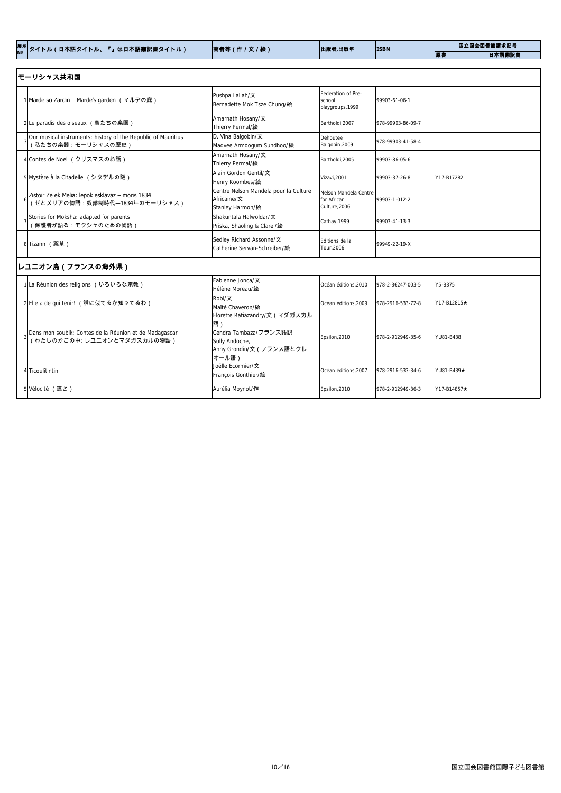| │ <sup>展示│</sup> タイトル(日本語タイトル、『』は日本語翻訳書タイトル) | 著者等 (作 / 文 / 絵)<br>出版者,出版年<br><b>ISBN</b> |  | 国立国会図書館請求記号 |        |
|----------------------------------------------|-------------------------------------------|--|-------------|--------|
|                                              |                                           |  | 原書          | 日本語翻訳書 |

| モーリシャス共和国                                                                            |                                                                                                                     |                                                       |                   |             |
|--------------------------------------------------------------------------------------|---------------------------------------------------------------------------------------------------------------------|-------------------------------------------------------|-------------------|-------------|
| 1 Marde so Zardin – Marde's garden (マルデの庭)                                           | Pushpa Lallah/文<br>Bernadette Mok Tsze Chung/絵                                                                      | Federation of Pre-<br>school<br>playgroups, 1999      | 99903-61-06-1     |             |
| 2Le paradis des oiseaux (鳥たちの楽園)                                                     | Amarnath Hosany/文<br>Thierry Permal/絵                                                                               | Bartholdi, 2007                                       | 978-99903-86-09-7 |             |
| Our musical instruments: history of the Republic of Mauritius<br>(私たちの楽器:モーリシャスの歴史)  | D. Vina Balgobin/文<br>Madvee Armoogum Sundhoo/絵                                                                     | Dehoutee<br>Balgobin, 2009                            | 978-99903-41-58-4 |             |
| 4 Contes de Noel (クリスマスのお話)                                                          | Amarnath Hosany/文<br>Thierry Permal/絵                                                                               | Bartholdi, 2005                                       | 99903-86-05-6     |             |
| 5 Mystère à la Citadelle (シタデルの謎)                                                    | Alain Gordon Gentil/文<br>Henry Koombes/絵                                                                            | Vizavi, 2001                                          | 99903-37-26-8     | Y17-B17282  |
| Zistoir Ze ek Melia: lepok esklavaz - moris 1834<br>せとメリアの物語:奴隷制時代ー1834年のモーリシャス)     | Centre Nelson Mandela pour la Culture<br>Africaine/文<br>Stanley Harmon/絵                                            | Nelson Mandela Centre<br>for African<br>Culture, 2006 | 99903-1-012-2     |             |
| Stories for Moksha: adapted for parents<br>保護者が語る:モクシャのための物語)                        | Shakuntala Halwoldar/文<br>Priska, Shaoling & Clarel/絵                                                               | Cathay, 1999                                          | 99903-41-13-3     |             |
| 8 Tizann (薬草)                                                                        | Sedley Richard Assonne/文<br>Catherine Servan-Schreiber/絵                                                            | Editions de la<br>Tour, 2006                          | 99949-22-19-X     |             |
| レユニオン島(フランスの海外県)                                                                     |                                                                                                                     |                                                       |                   |             |
| 1 La Réunion des religions (いろいろな宗教)                                                 | Fabienne Jonca/文<br>Hélène Moreau/絵                                                                                 | Océan éditions, 2010                                  | 978-2-36247-003-5 | Y5-B375     |
| 2 Elle a de qui tenir! (誰に似てるか知ってるわ)                                                 | Robi/文<br>Maîté Chaveron/絵                                                                                          | Océan éditions, 2009                                  | 978-2916-533-72-8 | Y17-B12815★ |
| Dans mon soubik: Contes de la Réunion et de Madagascar<br>(わたしのかごの中:レユニオンとマダガスカルの物語) | Florette Ratiazandry/文 (マダガスカル<br>語)<br>Cendra Tambaza/フランス語訳<br>Sully Andoche,<br>Anny Grondin/文(フランス語とクレ<br>オール語) | Epsilon, 2010                                         | 978-2-912949-35-6 | YU81-B438   |
| 4 Ticoulitintin                                                                      | Joëlle Écormier/文<br>François Gonthier/絵                                                                            | Océan éditions, 2007                                  | 978-2916-533-34-6 | YU81-B439★  |
| 5 Vélocité (速さ)                                                                      | Aurélia Moynot/作                                                                                                    | Epsilon, 2010                                         | 978-2-912949-36-3 | Y17-B14857★ |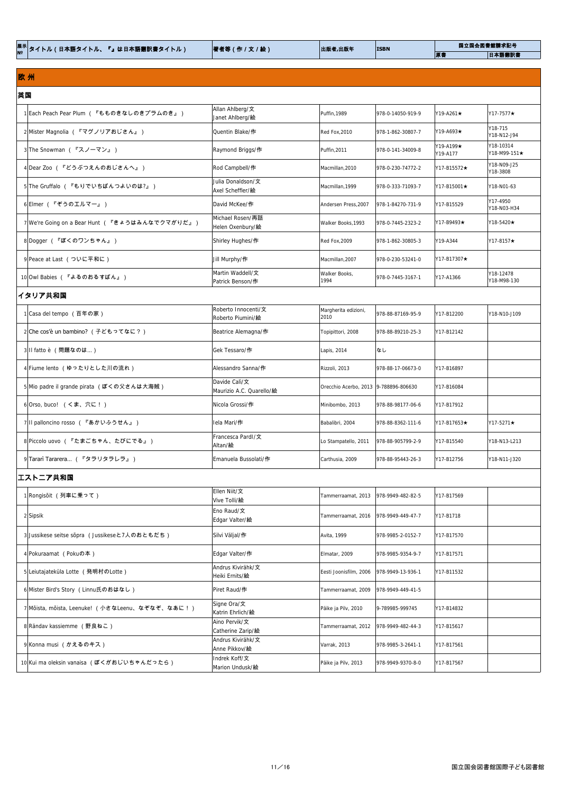| <sup>展示│</sup> タイトル(日本語タイトル、『』は日本語翻訳書タイトル) | 著者等(作/文/絵) | 出版者,出版年<br><b>ISBN</b> | 国立国会図書館請求記号 |    |
|--------------------------------------------|------------|------------------------|-------------|----|
|                                            |            |                        |             | 原札 |

# 欧 州

# 9 Tararì Tararera… (『タラリタラレラ』) Emanuela Bussolati/作 Carthusia, 2009 978-88-95443-26-3 Y17-B12756 Y18-N11-J320 エストニア共和国

| 英国                                             |                                           |                                       |                   |                       |                           |
|------------------------------------------------|-------------------------------------------|---------------------------------------|-------------------|-----------------------|---------------------------|
| 1 Each Peach Pear Plum (『もものきなしのきプラムのき』)       | Allan Ahlberg/文<br>Janet Ahlberg/絵        | Puffin, 1989                          | 978-0-14050-919-9 | $Y19-A261\star$       | Y17-7577★                 |
| 2 Mister Magnolia (『マグノリアおじさん』)                | Quentin Blake/作                           | Red Fox, 2010                         | 978-1-862-30807-7 | Y19-A693★             | Y18-715<br>Y18-N12-J94    |
| 3 The Snowman (『スノーマン』)                        | Raymond Briggs/作                          | Puffin, 2011                          | 978-0-141-34009-8 | Y19-A199★<br>Y19-A177 | Y18-10314<br>Y18-M99-151★ |
| 4Dear Zoo (『どうぶつえんのおじさんへ』)                     | Rod Campbell/作                            | Macmillan, 2010                       | 978-0-230-74772-2 | Y17-B15572★           | Y18-N09-J25<br>Y18-3808   |
| 5 The Gruffalo ( 『もりでいちばんつよいのは?』)              | Julia Donaldson/文<br>Axel Scheffler/絵     | Macmillan, 1999                       | 978-0-333-71093-7 | Y17-B15001★           | Y18-N01-63                |
| 6 Elmer (『ぞうのエルマー』)                            | David McKee/作                             | Andersen Press, 2007                  | 978-1-84270-731-9 | Y17-B15529            | Y17-4950<br>Y18-N03-H34   |
| 7 We're Going on a Bear Hunt (『きょうはみんなでクマがりだ』) | Michael Rosen/再話<br>Helen Oxenbury/絵      | Walker Books, 1993                    | 978-0-7445-2323-2 | Y17-B9493★            | Y18-5420★                 |
| 8 Dogger (『ぼくのワンちゃん』)                          | Shirley Hughes/作                          | Red Fox, 2009                         | 978-1-862-30805-3 | Y19-A344              | Y17-8157★                 |
| 9 Peace at Last (ついに平和に)                       | Jill Murphy/作                             | Macmillan, 2007                       | 978-0-230-53241-0 | Y17-B17307★           |                           |
| 10 Owl Babies (『よるのおるすばん』)                     | Martin Waddell/文<br>Patrick Benson/作      | Walker Books,<br>1994                 | 978-0-7445-3167-1 | Y17-A1366             | Y18-12478<br>Y18-M98-130  |
| イタリア共和国                                        |                                           |                                       |                   |                       |                           |
| 1 Casa del tempo (百年の家)                        | Roberto Innocenti/文<br>Roberto Piumini/絵  | Margherita edizioni,<br>2010          | 978-88-87169-95-9 | Y17-B12200            | Y18-N10-J109              |
| 2 Che cos'è un bambino? (子どもってなに?)             | Beatrice Alemagna/作                       | Topipittori, 2008                     | 978-88-89210-25-3 | Y17-B12142            |                           |
| 3 Il fatto è (問題なのは)                           | Gek Tessaro/作                             | Lapis, 2014                           | なし                |                       |                           |
| 4 Fiume lento (ゆったりとした川の流れ)                    | Alessandro Sanna/作                        | Rizzoli, 2013                         | 978-88-17-06673-0 | Y17-B16897            |                           |
| 5 Mio padre il grande pirata (ぼくの父さんは大海賊)      | Davide Calì/文<br>Maurizio A.C. Quarello/絵 | Orecchio Acerbo, 2013 9-788896-806630 |                   | Y17-B16084            |                           |
| 6 Orso, buco! (くま、穴に!)                         | Nicola Grossi/作                           | Minibombo, 2013                       | 978-88-98177-06-6 | Y17-B17912            |                           |
| 7 Il palloncino rosso (『あかいふうせん』)              | Iela Mari/作                               | Babalibri, 2004                       | 978-88-8362-111-6 | Y17-B17653★           | Y17-5271★                 |
| 8 Piccolo uovo (『たまごちゃん、たびにでる』)                | Francesca Pardl/文<br>$\Delta$ ltan/ $\AA$ | Lo Stampatello, 2011                  | 978-88-905799-2-9 | Y17-B15540            | Y18-N13-L213              |

Altan/絵

| 1 Rongisoit (列車に乗って)                            | Ellen Niit/文<br>Vive Tolli/絵        | Tammerraamat, 2013     | 978-9949-482-82-5  | Y17-B17569 |  |  |  |  |
|-------------------------------------------------|-------------------------------------|------------------------|--------------------|------------|--|--|--|--|
| 2 Sipsik                                        | Eno Raud/文<br>Edgar Valter/絵        | Tammerraamat, 2016     | 978-9949-449-47-7  | Y17-B1718  |  |  |  |  |
| 3 Jussikese seitse sõpra (Jussikeseと7人のおともだち)   | Silvi Väljal/作                      | Avita, 1999            | 978-9985-2-0152-7  | Y17-B17570 |  |  |  |  |
| 4 Pokuraamat (Pokuの本)                           | Edgar Valter/作                      | Elmatar, 2009          | 978-9985-9354-9-7  | Y17-B17571 |  |  |  |  |
| 5 Leiutajateküla Lotte (発明村のLotte)              | Andrus Kivirähk/文<br>Heiki Ernits/絵 | Eesti Joonisfilm, 2006 | 978-9949-13-936-1  | Y17-B11532 |  |  |  |  |
| 6 Mister Bird's Story (Linnu氏のおはなし)             | Piret Raud/作                        | Tammerraamat, 2009     | 1978-9949-449-41-5 |            |  |  |  |  |
| 7 Moista, moista, Leenuke! (小さなLeenu、なぞなぞ、なあに!) | Signe Ora/文<br>Katrin Ehrlich/絵     | Päike ja Pilv, 2010    | 9-789985-999745    | Y17-B14832 |  |  |  |  |
| 8 Rändav kassiemme (野良ねこ)                       | Aino Pervik/文<br>Catherine Zarip/絵  | Tammerraamat, 2012     | 978-9949-482-44-3  | Y17-B15617 |  |  |  |  |
| 9Konna musi (かえるのキス)                            | Andrus Kivirähk/文<br>Anne Pikkov/絵  | Varrak, 2013           | 978-9985-3-2641-1  | Y17-B17561 |  |  |  |  |
| 10 Kui ma oleksin vanaisa (ぼくがおじいちゃんだったら)       | Indrek Koff/文<br>Marion Undusk/絵    | Päike ja Pilv, 2013    | 978-9949-9370-8-0  | Y17-B17567 |  |  |  |  |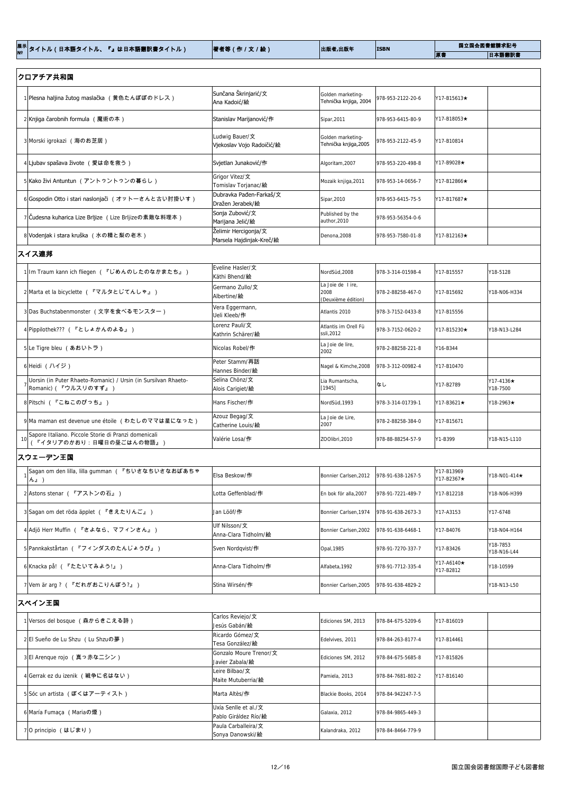|  | │ <sup>展示│</sup> タイトル(日本語タイトル、『』は日本語翻訳書タイトル) | 著者等(作 / 文 / 絵) | 出版者,出版年 | <b>ISBN</b> | 国立国会図書館請求記号 |        |
|--|----------------------------------------------|----------------|---------|-------------|-------------|--------|
|  |                                              |                |         |             | 原書          | 日本語翻訳書 |

| クロアチア共和国                                                                               |                                                  |                                                |                   |                          |                             |
|----------------------------------------------------------------------------------------|--------------------------------------------------|------------------------------------------------|-------------------|--------------------------|-----------------------------|
| 1 Plesna haljina žutog maslačka (黄色たんぽぽのドレス)                                           | Sunčana Škrinjarić/文<br>Ana Kadoić/絵             | Golden marketing-<br>Tehnička knjiga, 2004     | 978-953-2122-20-6 | Y17-B15613★              |                             |
| 2Knjiga čarobnih formula (魔術の本)                                                        | Stanislav Marijanović/作                          | Sipar, 2011                                    | 978-953-6415-80-9 | Y17-B18053★              |                             |
| 3 Morski igrokazi (海のお芝居)                                                              | Ludwig Bauer/文<br>Vjekoslav Vojo Radoičić/絵      | Golden marketing-<br>Tehnička knjiga, 2005     | 978-953-2122-45-9 | Y17-B10814               |                             |
| 4 Ljubav spašava živote (愛は命を救う)                                                       | Svjetlan Junaković/作                             | Algoritam, 2007                                | 978-953-220-498-8 | Y17-B9028★               |                             |
| 5 Kako živi Antuntun (アントゥントゥンの暮らし)                                                    | Grigor Vitez/文<br>Tomislav Torjanac/ <b>絵</b>    | Mozaik knjiga, 2011                            | 978-953-14-0656-7 | Y17-B12866★              |                             |
| 6 Gospodin Otto i stari naslonjači (オットーさんと古い肘掛いす)                                     | Dubravka Pađen-Farkaš/文<br>Dražen Jerabek/絵      | Sipar, 2010                                    | 978-953-6415-75-5 | Y17-B17687★              |                             |
| 7 Cudesna kuharica Lize Brljize (Lize Brljizeの素敵な料理本)                                  | Sonja Zubović/文<br>Marijana Jelić/絵              | Published by the<br>author, 2010               | 978-953-56354-0-6 |                          |                             |
| 8 Vodenjak i stara kruška (水の精と梨の老木)                                                   | Želimir Hercigonja/文<br>Marsela Hajdinjak-Kreč/絵 | Denona, 2008                                   | 978-953-7580-01-8 | Y17-B12163★              |                             |
| スイス連邦                                                                                  |                                                  |                                                |                   |                          |                             |
| 1 Im Traum kann ich fliegen (『じめんのしたのなかまたち』)                                           | Eveline Hasler/文<br>Käthi Bhend/絵                | NordSüd, 2008                                  | 978-3-314-01598-4 | Y17-B15557               | Y18-5128                    |
| 2 Marta et la bicyclette (『マルタとじてんしゃ』)                                                 | Germano Zullo/文<br>Albertine/絵                   | La Joie de lire,<br>2008<br>(Deuxième édition) | 978-2-88258-467-0 | Y17-B15692               | Y18-N06-H334                |
| 3 Das Buchstabenmonster (文字を食べるモンスター)                                                  | Vera Eggermann,<br>Ueli Kleeb/作                  | Atlantis 2010                                  | 978-3-7152-0433-8 | Y17-B15556               |                             |
| 4 Pippilothek??? (『としょかんのよる』)                                                          | Lorenz Pauli/文<br>Kathrin Schärer/絵              | Atlantis im Orell Fü<br>ssli,2012              | 978-3-7152-0620-2 | Y17-B15230★              | Y18-N13-L284                |
| 5 Le Tigre bleu (あおいトラ)                                                                | Nicolas Robel/作                                  | La Joie de lire,<br>2002                       | 978-2-88258-221-8 | Y16-B344                 |                             |
| 6 Heidi (ハイジ)                                                                          | Peter Stamm/再話<br>Hannes Binder/絵                | Nagel & Kimche, 2008                           | 978-3-312-00982-4 | Y17-B10470               |                             |
| Uorsin (in Puter Rhaeto-Romanic) / Ursin (in Sursilvan Rhaeto-<br> Romanic)(『ウルスリのすず』) | Selina Chönz/文<br>Alois Carigiet/絵               | Lia Rumantscha,<br>[1945]                      | なし                | Y17-B2789                | $Y17-4136\star$<br>Y18-7500 |
| 8 Pitschi (『こねこのぴっち』)                                                                  | Hans Fischer/作                                   | NordSüd, 1993                                  | 978-3-314-01739-1 | Y17-B3621★               | Y18-2963★                   |
| 9 Ma maman est devenue une étoile (わたしのママは星になった)                                       | Azouz Begag/文<br>Catherine Louis/絵               | La Joie de Lire,<br>2007                       | 978-2-88258-384-0 | Y17-B15671               |                             |
| Sapore Italiano. Piccole Storie di Pranzi domenicali<br>『イタリアのかおり:日曜日の昼ごはんの物語』)        | Valérie Losa/作                                   | ZOOlibri, 2010                                 | 978-88-88254-57-9 | Y1-B399                  | Y18-N15-L110                |
| スウェーデン王国                                                                               |                                                  |                                                |                   |                          |                             |
| Sagan om den lilla, lilla gumman (『ちいさなちいさなおばあちゃ<br>$ \hbar \underline{\mathbb{I}}$    | Elsa Beskow/作                                    | Bonnier Carlsen, 2012                          | 978-91-638-1267-5 | Y17-B13969<br>Y17-B2367★ | Y18-N01-414★                |
| 2 Astons stenar (『アストンの石』)                                                             | Lotta Geffenblad/作                               | En bok för alla, 2007                          | 978-91-7221-489-7 | Y17-B12218               | Y18-N06-H399                |
| 3 Sagan om det röda äpplet (『きえたりんご』)                                                  | Jan Lööf/ <b>作</b>                               | Bonnier Carlsen, 1974                          | 978-91-638-2673-3 | Y17-A3153                | Y17-6748                    |

| 4 Adjö Herr Muffin (『さよなら、マフィンさん』) | Ulf Nilsson/文<br>Anna-Clara Tidholm/絵        | Bonnier Carlsen, 2002 | 978-91-638-6468-1 | Y17-B4076               | Y18-N04-H164            |  |  |
|------------------------------------|----------------------------------------------|-----------------------|-------------------|-------------------------|-------------------------|--|--|
| 5 Pannkakstårtan (『フィンダスのたんじょうび』)  | Sven Nordqvist/作                             | Opal, 1985            | 978-91-7270-337-7 | Y17-B3426               | Y18-7853<br>Y18-N16-L44 |  |  |
| 6 Knacka på! (『たたいてみよう!』)          | Anna-Clara Tidholm/作                         | Alfabeta, 1992        | 978-91-7712-335-4 | Y17-A6140★<br>Y17-B2812 | Y18-10599               |  |  |
| 7 Vem är arg ? (『だれがおこりんぼう?』)      | Stina Wirsén/作                               | Bonnier Carlsen, 2005 | 978-91-638-4829-2 |                         | Y18-N13-L50             |  |  |
| スペイン王国                             |                                              |                       |                   |                         |                         |  |  |
| 1 Versos del bosque (森からきこえる詩)     | Carlos Reviejo/文<br>Jesús Gabán/ <b>絵</b>    | Ediciones SM, 2013    | 978-84-675-5209-6 | Y17-B16019              |                         |  |  |
| 2 El Sueño de Lu Shzu (Lu Shzuの夢)  | Ricardo Gómez/文<br>Tesa González/絵           | Edelvives, 2011       | 978-84-263-8177-4 | Y17-B14461              |                         |  |  |
| 3 El Arenque rojo (真っ赤なニシン)        | Gonzalo Moure Trenor/文<br>Javier Zabala/絵    | Ediciones SM, 2012    | 978-84-675-5685-8 | Y17-B15826              |                         |  |  |
| 4 Gerrak ez du izenik (戦争に名はない)    | Leire Bilbao/文<br>Maite Mutuberria/絵         | Pamiela, 2013         | 978-84-7681-802-2 | Y17-B16140              |                         |  |  |
| 5Soc un artista (ぼくはアーティスト)        | Marta Altès/作                                | Blackie Books, 2014   | 978-84-942247-7-5 |                         |                         |  |  |
| 6 María Fumaça (Mariaの煙)           | Uxía Senlle et al./文<br>Pablo Giráldez Río/絵 | Galaxia, 2012         | 978-84-9865-449-3 |                         |                         |  |  |
| 7 O principio (はじまり)               | Paula Carballeira/文<br>Sonya Danowski/絵      | Kalandraka, 2012      | 978-84-8464-779-9 |                         |                         |  |  |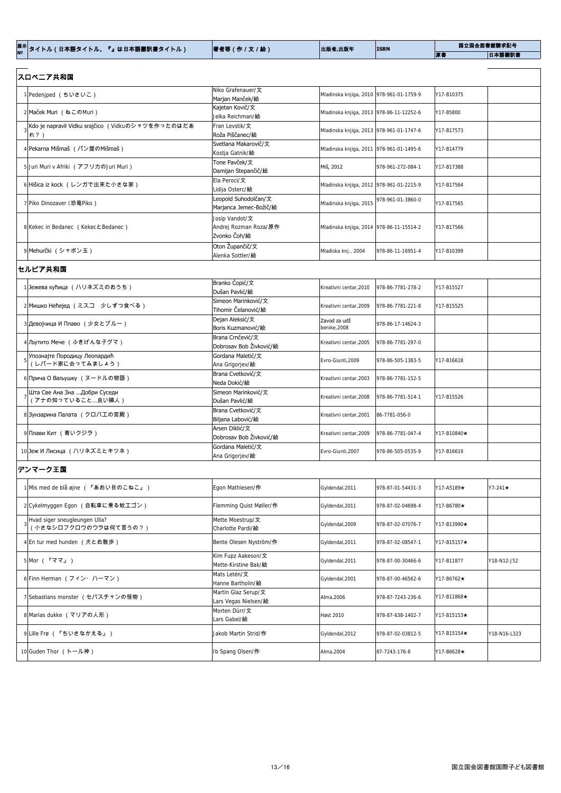| │ <sup>展示│</sup> タイトル(日本語タイトル、『』は日本語翻訳書タイトル) | 著者等(作 / 文 / 絵) | 出版者,出版年 | <b>ISBN</b> | 国立国会図書館請求記号 |        |  |
|----------------------------------------------|----------------|---------|-------------|-------------|--------|--|
|                                              |                |         |             | 原書          | 日本語翻訳書 |  |

| スロベニア共和国                                                  |                                                         |                                          |                   |             |               |
|-----------------------------------------------------------|---------------------------------------------------------|------------------------------------------|-------------------|-------------|---------------|
| 1 Pedeniped (ちいさいこ)                                       | Niko Grafenauer/文<br>Marjan Manček/絵                    | Mladinska knjiga, 2010 978-961-01-1759-9 |                   | Y17-B10375  |               |
| 2 Maček Muri (ねこのMuri)                                    | Kajetan Kovič/文<br>Jelka Reichman/絵                     | Mladinska knjiga, 2013 978-86-11-12252-6 |                   | Y17-B5800   |               |
| Kdo je napravil Vidku srajčico (Vidkuのシャツを作ったのはだあ<br>1れ?) | Fran Levstik/文<br>Roža Piščanec/絵                       | Mladinska knjiga, 2013 978-961-01-1747-6 |                   | Y17-B17573  |               |
| 4 Pekarna Mišmaš (パン屋のMišmaš)                             | Svetlana Makarovič/文<br>Kostja Gatnik/絵                 | Mladinska knjiga, 2011 978-961-01-1495-6 |                   | Y17-B14779  |               |
| 5 Juri Muri v Afriki (アフリカのJuri Muri)                     | Tone Pavček/文<br>Damijan Stepančič/絵                    | Miš, 2012                                | 978-961-272-084-1 | Y17-B17388  |               |
| 6 Hišica iz kock (レンガで出来た小さな家)                            | Ela Peroci/文<br>Lidija Osterc/絵                         | Mladinska knjiga, 2012 978-961-01-2215-9 |                   | Y17-B17564  |               |
| 7 Piko Dinozaver (恐竜Piko)                                 | Leopold Suhodolčan/文<br>Marjanca Jemec-Božič/絵          | Mladinska knjiga, 2015                   | 978-961-01-3860-0 | Y17-B17565  |               |
| 8 Kekec in Bedanec (Kekec E Bedanec)                      | Josip Vandot/文<br>Andrej Rozman Roza/原作<br>Zvonko Čoh/絵 | Mladinska knjiga, 2014 978-86-11-15514-2 |                   | Y17-B17566  |               |
| 9 Mehurčki (シャボン玉)                                        | Oton Župančič/文<br>Alenka Sottler/絵                     | Mladiska knj., 2004                      | 978-86-11-16951-4 | Y17-B10399  |               |
| セルビア共和国                                                   |                                                         |                                          |                   |             |               |
| 1 Jeжева кућица (ハリネズミのおうち)                               | Branko Ćopić/文<br>Dušan Pavlić/絵                        | Kreativni centar, 2010                   | 978-86-7781-278-2 | Y17-B15527  |               |
| 2 Мишко Нећејед (ミスコ 少しずつ食べる)                             | Simeon Marinković/文<br>Tihomir Čelanović/絵              | Kreativni centar, 2009                   | 978-86-7781-221-8 | Y17-B15525  |               |
| 3 Девојчица И Плаво (少女とブルー)                              | Dejan Aleksić/文<br>Boris Kuzmanović/絵                   | Zavod za udž<br>benike, 2008             | 978-86-17-14624-3 |             |               |
| 4 Љутито Мече (ふきげんな子グマ)                                  | Brana Crnčević/文<br>Dobrosav Bob Živković/絵             | Kreativni centar, 2005                   | 978-86-7781-297-0 |             |               |
| Упознајте Породицу Леопардић<br>(レパード家に会ってみましょう)          | Gordana Maletić/文<br>Ana Grigorjev/絵                    | Evro-Giunti, 2009                        | 978-86-505-1383-5 | Y17-B16618  |               |
| 6 Прича О Ваљушку (ヌードルの物語)                               | Brana Cvetković/文<br>Neda Dokić/絵                       | Kreativni centar, 2003                   | 978-86-7781-152-5 |             |               |
| Шта Све Ана Зна Добри Суседи<br>(アナの知っていること…良い隣人)         | Simeon Marinković/文<br>Dušan Pavlić/絵                   | Kreativni centar, 2008                   | 978-86-7781-514-1 | Y17-B15526  |               |
| 8 Зунзарина Палата (クロバエの宮殿)                              | Brana Cvetković/文<br>Biljana Labović/絵                  | Kreativni centar, 2001                   | 86-7781-056-0     |             |               |
| 9Плави Кит (青いクジラ)                                        | Arsen Diklić/文<br>Dobrosav Bob Živković/絵               | Kreativni centar, 2009                   | 978-86-7781-047-4 | Y17-B10840★ |               |
| 10 Јеж И Лисица (ハリネズミとキツネ)                               | Gordana Maletić/文<br>Ana Grigorjev/絵                    | Evro-Giunti, 2007                        | 978-86-505-0535-9 | Y17-B16619  |               |
| デンマーク王国                                                   |                                                         |                                          |                   |             |               |
| 1 Mis med de blå øjne (『あおい目のこねこ』)                        | Egon Mathiesen/作                                        | Gyldendal, 2011                          | 978-87-01-54431-3 | Y17-A5189★  | $Y7-241\star$ |

|  | Hvad siger sneugleungen Ulla?     | Mette Moestrup/文       | Gyldendal, 2009 | 978-87-02-07076-7                | Y17-B13990★ |              |
|--|-----------------------------------|------------------------|-----------------|----------------------------------|-------------|--------------|
|  | (小さなシロフクロウのウラは何て言うの?)             | Charlotte Pardi/絵      |                 |                                  |             |              |
|  | 4 En tur med hunden (犬とお散歩)       | Bente Olesen Nyström/作 | Gyldendal, 2011 | 978-87-02-08547-1                | Y17-B15157★ |              |
|  | $5$ Mor ( $\sqrt{3}$ $\sqrt{3}$ ) | Kim Fupz Aakeson/文     |                 |                                  |             |              |
|  |                                   | Mette-Kirstine Bak/絵   | Gyldendal, 2011 | 978-87-00-30466-6                | Y17-B11877  | Y18-N12-J52  |
|  | 6 Finn Herman (フィン・ハーマン)          | Mats Letén/文           |                 | 978-87-00-46562-6                | Y17-B6762★  |              |
|  |                                   | Hanne Bartholin/絵      | Gyldendal, 2001 |                                  |             |              |
|  | 7 Sebastians monster (セバスチャンの怪物)  | Martin Glaz Serup/文    | Alma, 2006      | 978-87-7243-236-6<br>Y17-B11868★ |             |              |
|  |                                   | Lars Vegas Nielsen/絵   |                 |                                  |             |              |
|  | 8 Marias dukke (マリアの人形)           | Morten Dürr/文          | Høst 2010       | 978-87-638-1402-7                | Y17-B15153★ |              |
|  |                                   | Lars Gabel/絵           |                 |                                  |             |              |
|  | 9Lille Frø (『ちいさなかえる』)            | Jakob Martin Strid/作   | Gyldendal, 2012 | 978-87-02-03812-5                | Y17-B15154★ | Y18-N16-L323 |
|  | 10 Guden Thor (トール神)              | Ib Spang Olsen/作       | Alma, 2004      | 87-7243-176-8                    | Y17-B6628★  |              |

2 Cykelmyggen Egon (自転車に乗る蚊エゴン) インタントリング Flemming Quist Møller/作 インタン Syldendal,2011 978-87-02-04698-4 イ17-B6780★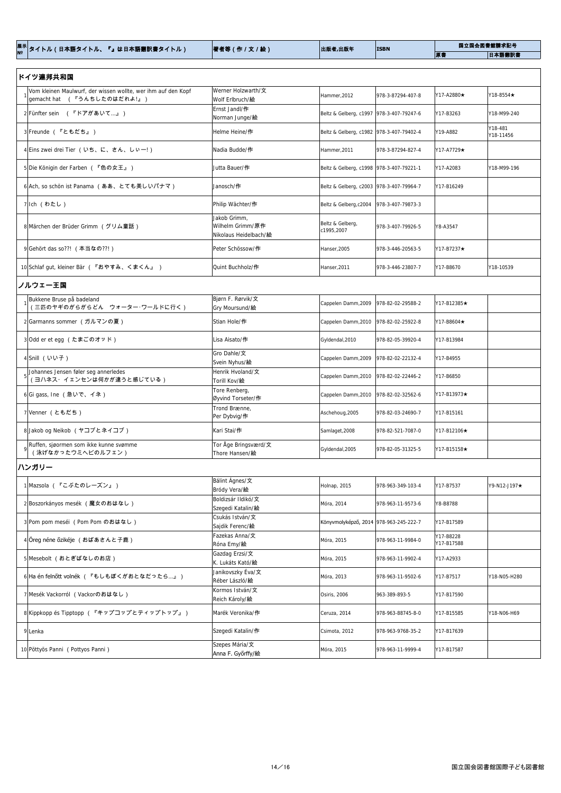|  |  | 著者等(作/文/絵) | 出版者,出版年 | <b>ISBN</b> | 国立国会図書館請求記号 |    |
|--|--|------------|---------|-------------|-------------|----|
|  |  |            |         |             |             | 原書 |

| ドイツ連邦共和国                                                                                     |                                                           |                                          |                   |             |                      |  |  |  |
|----------------------------------------------------------------------------------------------|-----------------------------------------------------------|------------------------------------------|-------------------|-------------|----------------------|--|--|--|
| Vom kleinen Maulwurf, der wissen wollte, wer ihm auf den Kopf<br>gemacht hat (『うんちしたのはだれよ!』) | Werner Holzwarth/文<br>Wolf Erlbruch/絵                     | Hammer, 2012                             | 978-3-87294-407-8 | Y17-A2880★  | Y18-8554★            |  |  |  |
| 2 Fünfter sein (『ドアがあいて』)                                                                    | Ernst Jandl/作<br>Norman Junge/絵                           | Beltz & Gelberg, c1997 978-3-407-79247-6 |                   | Y17-B3263   | Y18-M99-240          |  |  |  |
| 3 Freunde (『ともだち』)                                                                           | Helme Heine/作                                             | Beltz & Gelberg, c1982 978-3-407-79402-4 |                   | Y19-A882    | Y18-481<br>Y18-11456 |  |  |  |
| 4 Eins zwei drei Tier (いち、に、さん、しぃー!)                                                         | Nadia Budde/作                                             | Hammer, 2011                             | 978-3-87294-827-4 | Y17-A7729★  |                      |  |  |  |
| 5 Die Königin der Farben (『色の女王』)                                                            | Jutta Bauer/作                                             | Beltz & Gelberg, c1998 978-3-407-79221-1 |                   | Y17-A2083   | Y18-M99-196          |  |  |  |
| 6 Ach, so schön ist Panama (ああ、とても美しいパナマ)                                                    | Janosch/作                                                 | Beltz & Gelberg, c2003 978-3-407-79964-7 |                   | Y17-B16249  |                      |  |  |  |
| 7 Ich (わたし)                                                                                  | Philip Wächter/作                                          | Beltz & Gelberg, c2004                   | 978-3-407-79873-3 |             |                      |  |  |  |
| 8 Märchen der Brüder Grimm (グリム童話)                                                           | Jakob Grimm,<br>Wilhelm Grimm/原作<br>Nikolaus Heidelbach/絵 | Beltz & Gelberg,<br>c1995,2007           | 978-3-407-79926-5 | Y8-A3547    |                      |  |  |  |
| 9 Gehört das so??! (本当なの??!)                                                                 | Peter Schössow/作                                          | Hanser, 2005                             | 978-3-446-20563-5 | Y17-B7237★  |                      |  |  |  |
| 10 Schlaf gut, kleiner Bär (『おやすみ、くまくん』)                                                     | Quint Buchholz/作                                          | Hanser, 2011                             | 978-3-446-23807-7 | Y17-B8670   | Y18-10539            |  |  |  |
| ノルウェー王国                                                                                      |                                                           |                                          |                   |             |                      |  |  |  |
| Bukkene Bruse på badeland<br>(三匹のヤギのがらがらどん ウォーター・ワールドに行く)                                    | $\beta$ igrn F. Rørvik/文<br>Gry Moursund/絵                | Cappelen Damm, 2009                      | 978-82-02-29588-2 | Y17-B12385★ |                      |  |  |  |
| 2 Garmanns sommer (ガルマンの夏)                                                                   | Stian Hole/作                                              | Cappelen Damm, 2010   978-82-02-25922-8  |                   | Y17-B8604★  |                      |  |  |  |
| 3 Odd er et egg (たまごのオッド)                                                                    | Lisa Aisato/作                                             | Gyldendal, 2010                          | 978-82-05-39920-4 | Y17-B13984  |                      |  |  |  |
| 4Snill (いい子)                                                                                 | Gro Dahle/文<br>Svein Nyhus/絵                              | Cappelen Damm, 2009                      | 978-82-02-22132-4 | Y17-B4955   |                      |  |  |  |
| Johannes Jensen føler seg annerledes                                                         | Henrik Hvoland/文                                          | Cappelen Damm, 2010 978-82-02-22446-2    |                   | Y17-B6850   |                      |  |  |  |

(ヨハネス・イェンセンは何かが違うと感じている)

Torill Kov/絵

Cappelen Damm,2010 978-82-02-22446-2 Y17-B6850

Cappelen Damm,2010 978-82-02-32562-6 Y17-B13973★

Aschehoug,2005 978-82-03-24690-7 | Y17-B15161

Per Dybvig/作

 $\beta$ yvind Torseter/作

8 Jakob og Neikob **(ヤコブとネイコブ)** Kari Stai/作 Samlaget,2008 978-82-521-7087-0 Y17-B12106★

9

Ruffen, sjøormen som ikke kunne svømme (泳げなかったウミヘビのルフェン)

 $\begin{array}{c|c|c|c|c} \text{5} & \text{5} & \text{6} & \text{6} & \text{7} & \text{8} & \text{8} & \text{8} & \text{7} & \text{8} & \text{8} & \text{8} & \text{8} & \text{9} & \text{10} & \text{10} & \text{10} & \text{10} & \text{10} & \text{10} & \text{10} & \text{10} & \text{10} & \text{10} & \text{10} & \text{10} & \text{10} & \text{10} & \text{10} & \text{10} & \text{10} &$ 

7 Venner (ともだち) Trond Brænne, Trond Brænne, Trond Brænne, Trond Brænne, Trond Brænne, Trond Brænne, Trond Brænne, Trond Brænne, Trond Brænne, Trond Brænne, Trond Brænne, Trond Brænne, Trond Brænne, Trond Brænne, Trond Br

Tor Åge Bringsværd/文 Thore Hansen/絵

Gyldendal,2005 978-82-05-31325-5 Y17-B15158★

| ハンガリ |  |
|------|--|
|------|--|

| 1 Mazsola (『こぶたのレーズン』)                    | Bálint Ágnes/文<br>Bródy Vera/絵             | Holnap, 2015                           | 978-963-349-103-4 | Y17-B7537               | $Y9-N12-J197\star$ |
|-------------------------------------------|--------------------------------------------|----------------------------------------|-------------------|-------------------------|--------------------|
| 2 Boszorkányos mesék (魔女のおはなし)            | Boldizsár Ildikó/文<br>Szegedi Katalin/絵    | Móra, 2014                             | 978-963-11-9573-6 | Y8-B8788                |                    |
| 3 Pom pom meséi (Pom Pom のおはなし)           | Csukás István/文<br>Sajdik Ferenc/絵         | Könyvmolyképző, 2014 978-963-245-222-7 |                   | Y17-B17589              |                    |
| 4 Öreg néne őzikéje (おばあさんと子鹿)            | Fazekas Anna/文<br>Róna Emy/絵               | Móra, 2015                             | 978-963-11-9984-0 | Y17-B8228<br>Y17-B17588 |                    |
| 5 Mesebolt (おとぎばなしのお店)                    | Gazdag Erzsi/文<br>K. Lukáts Kató/ <b>絵</b> | Móra, 2015                             | 978-963-11-9902-4 | Y17-A2933               |                    |
| 6 Ha én felnőtt volnék (『もしもぼくがおとなだったら…』) | Janikovszky Éva/文<br>Réber László/絵        | Móra, 2013                             | 978-963-11-9502-6 | Y17-B7517               | Y18-N05-H280       |
| 7 Mesék Vackorról (Vackorのおはなし)           | Kormos István/文<br>Reich Károly/絵          | Osiris, 2006                           | 963-389-893-5     | Y17-B17590              |                    |
| 8 Kippkopp és Tipptopp (『キップコップとティップトップ』) | Marék Veronika/ <b>作</b>                   | Ceruza, 2014                           | 978-963-88745-8-0 | Y17-B15585              | Y18-N06-H69        |
| 9 Lenka                                   | Szegedi Katalin/ <b>作</b>                  | Csimota, 2012                          | 978-963-9768-35-2 | Y17-B17639              |                    |
| 10 Pöttyös Panni (Pottyos Panni)          | Szepes Mária/文<br>Anna F. Győrffy/絵        | Móra, 2015                             | 978-963-11-9999-4 | Y17-B17587              |                    |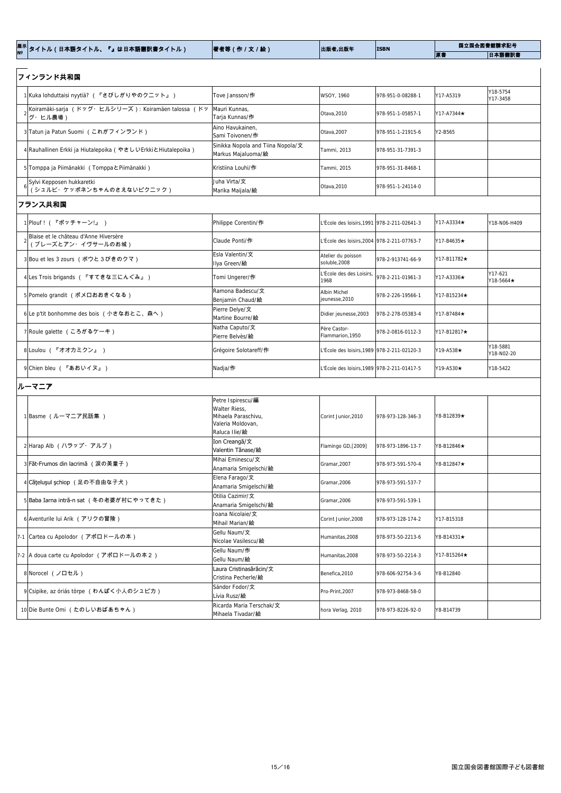|  | 著者等(作 / 文 / 絵) | 出版者,出版年 | <b>ISBN</b> |    | 国立国会図書館請求記号 |
|--|----------------|---------|-------------|----|-------------|
|  |                |         |             | 原書 | 日本語翻訳書      |

| フィンランド共和国                                                      |                                                                                                 |                                               |                   |             |                        |
|----------------------------------------------------------------|-------------------------------------------------------------------------------------------------|-----------------------------------------------|-------------------|-------------|------------------------|
| 1 Kuka lohduttaisi nyytiä? (『さびしがりやのクニット』)                     | Tove Jansson/作                                                                                  | WSOY, 1960                                    | 978-951-0-08288-1 | Y17-A5319   | Y18-5754<br>Y17-3458   |
| Koiramäki-sarja (ドッグ・ヒルシリーズ): Koiramäen talossa (ドッ<br>グ・ヒル農場) | Mauri Kunnas,<br>Tarja Kunnas/作                                                                 | Otava, 2010                                   | 978-951-1-05857-1 | Y17-A7344★  |                        |
| 3 Tatun ja Patun Suomi (これがフィンランド)                             | Aino Havukainen,<br>Sami Toivonen/作                                                             | Otava, 2007                                   | 978-951-1-21915-6 | Y2-B565     |                        |
| 4 Rauhallinen Erkki ja Hiutalepoika (やさしいErkkiとHiutalepoika)   | Sinikka Nopola and Tiina Nopola/文<br>Markus Majaluoma/絵                                         | Tammi, 2013                                   | 978-951-31-7391-3 |             |                        |
| 5 Tomppa ja Piimänakki (Tomppa EPiimänakki)                    | Kristiina Louhi/作                                                                               | Tammi, 2015                                   | 978-951-31-8468-1 |             |                        |
| Sylvi Kepposen hukkaretki<br>(シュルビ・ケッポネンちゃんのさえないピクニック)         | Juha Virta/文<br>Marika Maijala/絵                                                                | Otava, 2010                                   | 978-951-1-24114-0 |             |                        |
| フランス共和国                                                        |                                                                                                 |                                               |                   |             |                        |
| 1 Plouf ! ( 『ポッチャーン!』 )                                        | Philippe Corentin/作                                                                             | L'École des loisirs, 1991 978-2-211-02641-3   |                   | Y17-A3334★  | Y18-N06-H409           |
| Blaise et le château d'Anne Hiversère<br>(ブレーズとアン・イヴサールのお城)    | Claude Ponti/作                                                                                  | L'École des loisirs, 2004   978-2-211-07763-7 |                   | Y17-B4635★  |                        |
| 3 Bou et les 3 zours (ボウと3びきのクマ)                               | Esla Valentin/文<br>Ilya Green/絵                                                                 | Atelier du poisson<br>soluble, 2008           | 978-2-913741-66-9 | Y17-B11782★ |                        |
| 4Les Trois brigands ( 『すてきな三にんぐみ』 )                            | Tomi Ungerer/作                                                                                  | L'École des des Loisirs,<br>1968              | 978-2-211-01961-3 | Y17-A3336★  | Y17-621<br>Y18-5664★   |
| 5 Pomelo grandit (ポメロおおきくなる)                                   | Ramona Badescu/文<br>Benjamin Chaud/絵                                                            | Albin Michel<br>jeunesse, 2010                | 978-2-226-19566-1 | Y17-B15234★ |                        |
| 6Le p'tit bonhomme des bois (小さなおとこ、森へ)                        | Pierre Delye/文<br>Martine Bourre/絵                                                              | Didier jeunesse, 2003                         | 978-2-278-05383-4 | Y17-B7484★  |                        |
| 7 Roule galette (ころがるケーキ)                                      | Natha Caputo/文<br>Pierre Belvès/絵                                                               | Père Castor-<br>Flammarion, 1950              | 978-2-0816-0112-3 | Y17-B12817★ |                        |
| 8 Loulou (『オオカミクン』)                                            | Grégoire Solotareff/作                                                                           | L'École des loisirs,1989 978-2-211-02120-3    |                   | Y19-A538★   | Y18-5881<br>Y18-N02-20 |
| 9 Chien bleu (『あおいイヌ』)                                         | Nadja/作                                                                                         | L'École des loisirs, 1989 978-2-211-01417-5   |                   | Y19-A530★   | Y18-5422               |
| ルーマニア                                                          |                                                                                                 |                                               |                   |             |                        |
| 1 Basme (ルーマニア民話集 )                                            | Petre Ispirescu/編<br>Walter Riess,<br>Mihaela Paraschivu,<br>Valeria Moldovan,<br>Raluca Ilie/絵 | Corint Junior, 2010                           | 978-973-128-346-3 | Y8-B12839★  |                        |
| 2 Harap Alb (ハラップ・アルブ)                                         | Ion Creangă/文<br>Valentin Tănase/絵                                                              | Flamingo GD, [2009]                           | 978-973-1896-13-7 | Y8-B12846★  |                        |
| 3 Făt-Frumos din lacrimă (涙の美童子)                               | Mihai Eminescu/文<br>Anamaria Sminalschi/ <sup>14</sup>                                          | Gramar, 2007                                  | 978-973-591-570-4 | Y8-B12847★  |                        |

Gramar,2006 978-973-591-537-7

<sup>5</sup> Baba Iarna intră-n sat (冬の老婆が村にやってきた) Otilia Cazimir/<sup>文</sup>

Gramar,2006 978-973-591-539-1

Anamaria Smigelschi/絵

Anamaria Smigelschi/絵

Anamaria Smigelschi/絵

4 **Căţeluşul şchiop (足の不自由な子犬)** Elena Farago/文

| 6 Aventurile lui Arik (アリクの冒険)            | loana Nicolaie/文<br>Mihail Marian/絵            | Corint Junior, 2008 | 978-973-128-174-2 | Y17-B15318               |  |
|-------------------------------------------|------------------------------------------------|---------------------|-------------------|--------------------------|--|
| 7-1 Cartea cu Apolodor (アポロドールの本)         | Gellu Naum/文<br>Nicolae Vasilescu/絵            | Humanitas, 2008     | 978-973-50-2213-6 | $\text{Y8-B14331} \star$ |  |
| 7-2  A doua carte cu Apolodor (アポロドールの本2) | Gellu Naum/作<br>Gellu Naum/絵                   | Humanitas, 2008     | 978-973-50-2214-3 | Y17-B15264★              |  |
| 8 Norocel (ノロセル)                          | Laura Cristinasărăcin/文<br>Cristina Pecherle/絵 | Benefica.2010       | 978-606-92754-3-6 | Y8-B12840                |  |
| 9 Csipike, az óriás törpe (わんぱく小人のシュピカ)   | Sándor Fodor/文<br>Lívia Rusz/絵                 | Pro-Print, 2007     | 978-973-8468-58-0 |                          |  |
| 10 Die Bunte Omi (たのしいおばあちゃん)             | Ricarda Maria Terschak/文<br>Mihaela Tivadar/絵  | hora Verlag, 2010   | 978-973-8226-92-0 | Y8-B14739                |  |